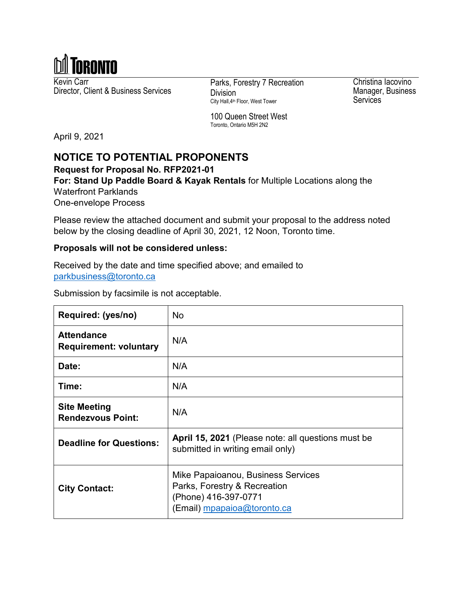

Kevin Carr Kevin Carr<br>Director, Client & Business Services<br>
Division

Division City Hall,4th Floor, West Tower

Christina Iacovino Manager, Business **Services** 

100 Queen Street West Toronto, Ontario M5H 2N2

April 9, 2021

# **NOTICE TO POTENTIAL PROPONENTS**

**Request for Proposal No. RFP2021-01**

**For: Stand Up Paddle Board & Kayak Rentals** for Multiple Locations along the Waterfront Parklands

One-envelope Process

Please review the attached document and submit your proposal to the address noted below by the closing deadline of April 30, 2021, 12 Noon, Toronto time.

#### **Proposals will not be considered unless:**

Received by the date and time specified above; and emailed to [parkbusiness@toronto.ca](mailto:parkbusiness@toronto.ca)

Submission by facsimile is not acceptable.

| Required: (yes/no)                                 | <b>No</b>                                                                                                                 |
|----------------------------------------------------|---------------------------------------------------------------------------------------------------------------------------|
| <b>Attendance</b><br><b>Requirement: voluntary</b> | N/A                                                                                                                       |
| Date:                                              | N/A                                                                                                                       |
| Time:                                              | N/A                                                                                                                       |
| <b>Site Meeting</b><br><b>Rendezvous Point:</b>    | N/A                                                                                                                       |
| <b>Deadline for Questions:</b>                     | April 15, 2021 (Please note: all questions must be<br>submitted in writing email only)                                    |
| <b>City Contact:</b>                               | Mike Papaioanou, Business Services<br>Parks, Forestry & Recreation<br>(Phone) 416-397-0771<br>(Email) mpapaioa@toronto.ca |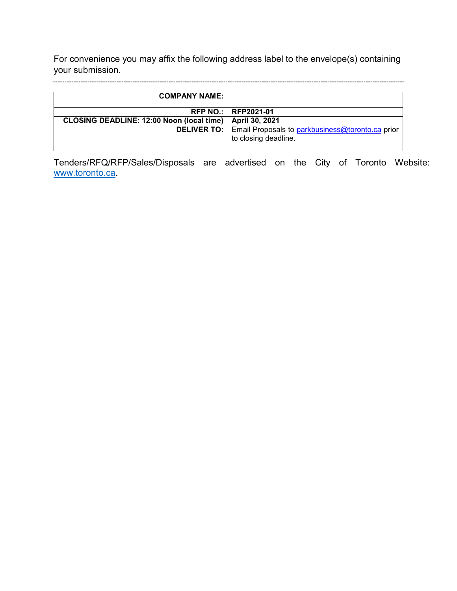For convenience you may affix the following address label to the envelope(s) containing your submission.

| <b>COMPANY NAME:</b>                             |                                                                                                      |
|--------------------------------------------------|------------------------------------------------------------------------------------------------------|
|                                                  | <b>RFP NO.:   RFP2021-01</b>                                                                         |
| <b>CLOSING DEADLINE: 12:00 Noon (local time)</b> | April 30, 2021                                                                                       |
|                                                  | <b>DELIVER TO:</b>   Email Proposals to <b>parkbusiness@toronto.ca</b> prior<br>to closing deadline. |

Tenders/RFQ/RFP/Sales/Disposals are advertised on the City of Toronto Website: [www.toronto.ca.](http://www.toronto.ca/)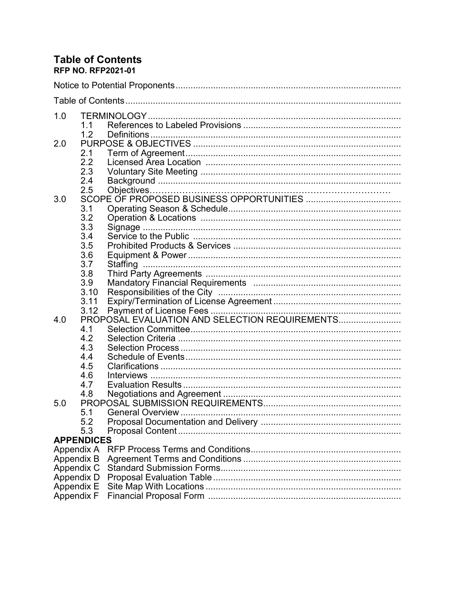#### **Table of Contents RFP NO. RFP2021-01**

| 1.0        | 1.1               |                          |  |
|------------|-------------------|--------------------------|--|
| 2.0        | 1.2<br>2.1        |                          |  |
|            | 2.2<br>2.3        |                          |  |
|            | 2.4<br>2.5        |                          |  |
| 3.0        | 3.1               |                          |  |
|            | 3.2<br>3.3<br>3.4 |                          |  |
|            | 3.5<br>3.6        |                          |  |
|            | 3.7<br>3.8        |                          |  |
|            | 3.9<br>3.10       |                          |  |
|            | 3.11              |                          |  |
| 4.0        | 4.1               |                          |  |
|            | 4.2<br>4.3        |                          |  |
|            | 4.4<br>4.5<br>4.6 |                          |  |
|            | 4.7               |                          |  |
| 5.0        | 5.1               | <b>General Overview </b> |  |
|            | 5.2<br>5.3        |                          |  |
|            | <b>APPENDICES</b> |                          |  |
| Appendix A |                   |                          |  |
| Appendix B |                   |                          |  |
| Appendix C |                   |                          |  |
| Appendix D |                   |                          |  |
| Appendix E |                   |                          |  |
| Appendix F |                   |                          |  |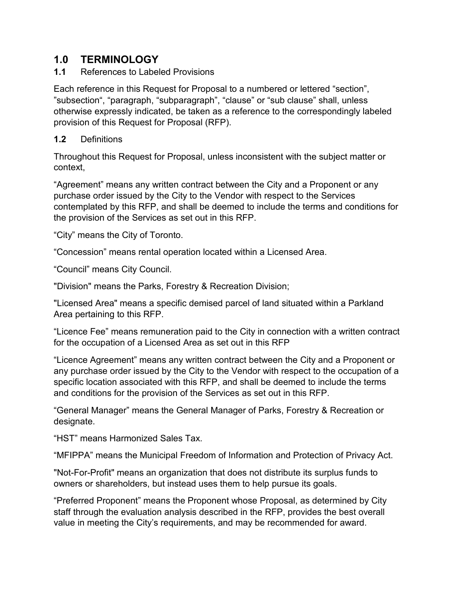## **1.0 TERMINOLOGY**

**1.1** References to Labeled Provisions

Each reference in this Request for Proposal to a numbered or lettered "section", "subsection", "paragraph, "subparagraph", "clause" or "sub clause" shall, unless otherwise expressly indicated, be taken as a reference to the correspondingly labeled provision of this Request for Proposal (RFP).

## **1.2** Definitions

Throughout this Request for Proposal, unless inconsistent with the subject matter or context,

"Agreement" means any written contract between the City and a Proponent or any purchase order issued by the City to the Vendor with respect to the Services contemplated by this RFP, and shall be deemed to include the terms and conditions for the provision of the Services as set out in this RFP.

"City" means the City of Toronto.

"Concession" means rental operation located within a Licensed Area.

"Council" means City Council.

"Division" means the Parks, Forestry & Recreation Division;

"Licensed Area" means a specific demised parcel of land situated within a Parkland Area pertaining to this RFP.

"Licence Fee" means remuneration paid to the City in connection with a written contract for the occupation of a Licensed Area as set out in this RFP

"Licence Agreement" means any written contract between the City and a Proponent or any purchase order issued by the City to the Vendor with respect to the occupation of a specific location associated with this RFP, and shall be deemed to include the terms and conditions for the provision of the Services as set out in this RFP.

"General Manager" means the General Manager of Parks, Forestry & Recreation or designate.

"HST" means Harmonized Sales Tax.

"MFIPPA" means the Municipal Freedom of Information and Protection of Privacy Act.

"Not-For-Profit" means an organization that does not distribute its surplus funds to owners or shareholders, but instead uses them to help pursue its goals.

"Preferred Proponent" means the Proponent whose Proposal, as determined by City staff through the evaluation analysis described in the RFP, provides the best overall value in meeting the City's requirements, and may be recommended for award.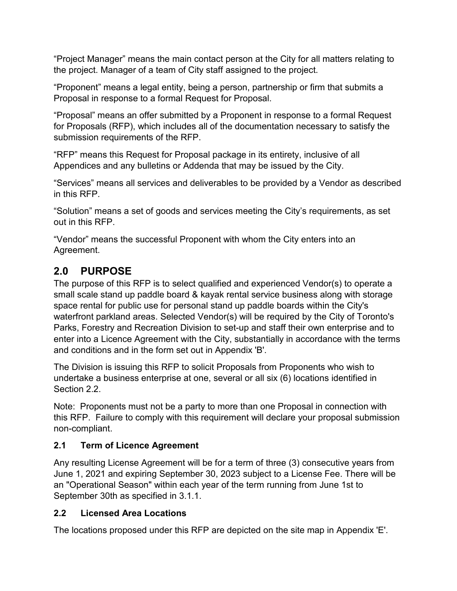"Project Manager" means the main contact person at the City for all matters relating to the project. Manager of a team of City staff assigned to the project.

"Proponent" means a legal entity, being a person, partnership or firm that submits a Proposal in response to a formal Request for Proposal.

"Proposal" means an offer submitted by a Proponent in response to a formal Request for Proposals (RFP), which includes all of the documentation necessary to satisfy the submission requirements of the RFP.

"RFP" means this Request for Proposal package in its entirety, inclusive of all Appendices and any bulletins or Addenda that may be issued by the City.

"Services" means all services and deliverables to be provided by a Vendor as described in this RFP.

"Solution" means a set of goods and services meeting the City's requirements, as set out in this RFP.

"Vendor" means the successful Proponent with whom the City enters into an Agreement.

# **2.0 PURPOSE**

The purpose of this RFP is to select qualified and experienced Vendor(s) to operate a small scale stand up paddle board & kayak rental service business along with storage space rental for public use for personal stand up paddle boards within the City's waterfront parkland areas. Selected Vendor(s) will be required by the City of Toronto's Parks, Forestry and Recreation Division to set-up and staff their own enterprise and to enter into a Licence Agreement with the City, substantially in accordance with the terms and conditions and in the form set out in Appendix 'B'.

The Division is issuing this RFP to solicit Proposals from Proponents who wish to undertake a business enterprise at one, several or all six (6) locations identified in Section 2.2.

Note: Proponents must not be a party to more than one Proposal in connection with this RFP. Failure to comply with this requirement will declare your proposal submission non-compliant.

## **2.1 Term of Licence Agreement**

Any resulting License Agreement will be for a term of three (3) consecutive years from June 1, 2021 and expiring September 30, 2023 subject to a License Fee. There will be an "Operational Season" within each year of the term running from June 1st to September 30th as specified in 3.1.1.

## **2.2 Licensed Area Locations**

The locations proposed under this RFP are depicted on the site map in Appendix 'E'.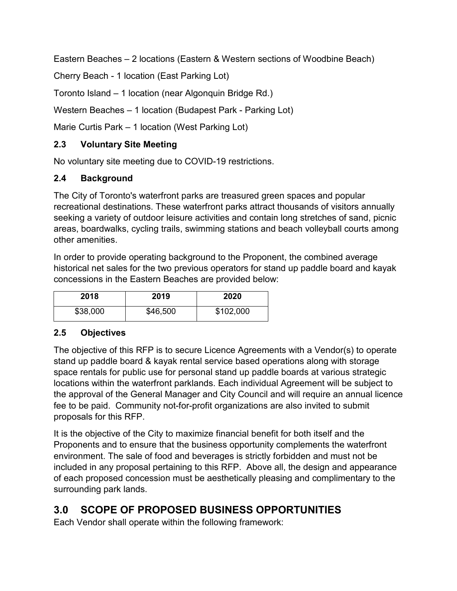Eastern Beaches – 2 locations (Eastern & Western sections of Woodbine Beach)

Cherry Beach - 1 location (East Parking Lot)

Toronto Island – 1 location (near Algonquin Bridge Rd.)

Western Beaches – 1 location (Budapest Park - Parking Lot)

Marie Curtis Park – 1 location (West Parking Lot)

## **2.3 Voluntary Site Meeting**

No voluntary site meeting due to COVID-19 restrictions.

## **2.4 Background**

The City of Toronto's waterfront parks are treasured green spaces and popular recreational destinations. These waterfront parks attract thousands of visitors annually seeking a variety of outdoor leisure activities and contain long stretches of sand, picnic areas, boardwalks, cycling trails, swimming stations and beach volleyball courts among other amenities.

In order to provide operating background to the Proponent, the combined average historical net sales for the two previous operators for stand up paddle board and kayak concessions in the Eastern Beaches are provided below:

| 2018     | 2019     | 2020      |
|----------|----------|-----------|
| \$38,000 | \$46,500 | \$102,000 |

#### **2.5 Objectives**

The objective of this RFP is to secure Licence Agreements with a Vendor(s) to operate stand up paddle board & kayak rental service based operations along with storage space rentals for public use for personal stand up paddle boards at various strategic locations within the waterfront parklands. Each individual Agreement will be subject to the approval of the General Manager and City Council and will require an annual licence fee to be paid. Community not-for-profit organizations are also invited to submit proposals for this RFP.

It is the objective of the City to maximize financial benefit for both itself and the Proponents and to ensure that the business opportunity complements the waterfront environment. The sale of food and beverages is strictly forbidden and must not be included in any proposal pertaining to this RFP. Above all, the design and appearance of each proposed concession must be aesthetically pleasing and complimentary to the surrounding park lands.

# **3.0 SCOPE OF PROPOSED BUSINESS OPPORTUNITIES**

Each Vendor shall operate within the following framework: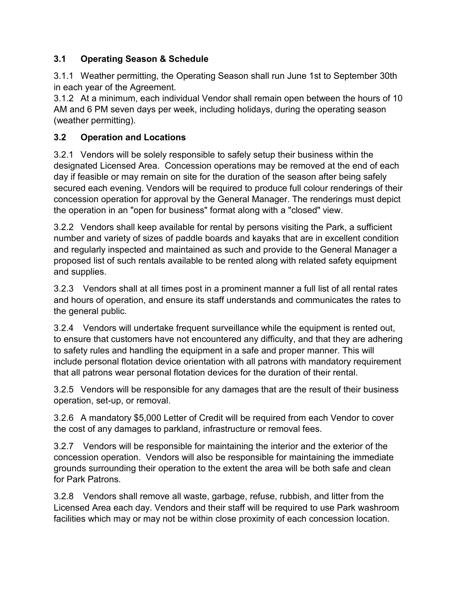## **3.1 Operating Season & Schedule**

3.1.1 Weather permitting, the Operating Season shall run June 1st to September 30th in each year of the Agreement.

3.1.2 At a minimum, each individual Vendor shall remain open between the hours of 10 AM and 6 PM seven days per week, including holidays, during the operating season (weather permitting).

## **3.2 Operation and Locations**

3.2.1 Vendors will be solely responsible to safely setup their business within the designated Licensed Area. Concession operations may be removed at the end of each day if feasible or may remain on site for the duration of the season after being safely secured each evening. Vendors will be required to produce full colour renderings of their concession operation for approval by the General Manager. The renderings must depict the operation in an "open for business" format along with a "closed" view.

3.2.2 Vendors shall keep available for rental by persons visiting the Park, a sufficient number and variety of sizes of paddle boards and kayaks that are in excellent condition and regularly inspected and maintained as such and provide to the General Manager a proposed list of such rentals available to be rented along with related safety equipment and supplies.

3.2.3 Vendors shall at all times post in a prominent manner a full list of all rental rates and hours of operation, and ensure its staff understands and communicates the rates to the general public.

3.2.4 Vendors will undertake frequent surveillance while the equipment is rented out, to ensure that customers have not encountered any difficulty, and that they are adhering to safety rules and handling the equipment in a safe and proper manner. This will include personal flotation device orientation with all patrons with mandatory requirement that all patrons wear personal flotation devices for the duration of their rental.

3.2.5 Vendors will be responsible for any damages that are the result of their business operation, set-up, or removal.

3.2.6 A mandatory \$5,000 Letter of Credit will be required from each Vendor to cover the cost of any damages to parkland, infrastructure or removal fees.

3.2.7 Vendors will be responsible for maintaining the interior and the exterior of the concession operation. Vendors will also be responsible for maintaining the immediate grounds surrounding their operation to the extent the area will be both safe and clean for Park Patrons.

3.2.8 Vendors shall remove all waste, garbage, refuse, rubbish, and litter from the Licensed Area each day. Vendors and their staff will be required to use Park washroom facilities which may or may not be within close proximity of each concession location.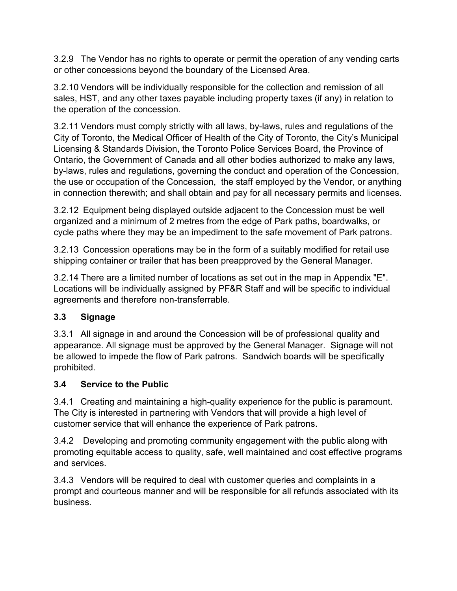3.2.9 The Vendor has no rights to operate or permit the operation of any vending carts or other concessions beyond the boundary of the Licensed Area.

3.2.10 Vendors will be individually responsible for the collection and remission of all sales, HST, and any other taxes payable including property taxes (if any) in relation to the operation of the concession.

3.2.11 Vendors must comply strictly with all laws, by-laws, rules and regulations of the City of Toronto, the Medical Officer of Health of the City of Toronto, the City's Municipal Licensing & Standards Division, the Toronto Police Services Board, the Province of Ontario, the Government of Canada and all other bodies authorized to make any laws, by-laws, rules and regulations, governing the conduct and operation of the Concession, the use or occupation of the Concession, the staff employed by the Vendor, or anything in connection therewith; and shall obtain and pay for all necessary permits and licenses.

3.2.12 Equipment being displayed outside adjacent to the Concession must be well organized and a minimum of 2 metres from the edge of Park paths, boardwalks, or cycle paths where they may be an impediment to the safe movement of Park patrons.

3.2.13 Concession operations may be in the form of a suitably modified for retail use shipping container or trailer that has been preapproved by the General Manager.

3.2.14 There are a limited number of locations as set out in the map in Appendix "E". Locations will be individually assigned by PF&R Staff and will be specific to individual agreements and therefore non-transferrable.

## **3.3 Signage**

3.3.1 All signage in and around the Concession will be of professional quality and appearance. All signage must be approved by the General Manager. Signage will not be allowed to impede the flow of Park patrons. Sandwich boards will be specifically prohibited.

## **3.4 Service to the Public**

3.4.1 Creating and maintaining a high-quality experience for the public is paramount. The City is interested in partnering with Vendors that will provide a high level of customer service that will enhance the experience of Park patrons.

3.4.2 Developing and promoting community engagement with the public along with promoting equitable access to quality, safe, well maintained and cost effective programs and services.

3.4.3 Vendors will be required to deal with customer queries and complaints in a prompt and courteous manner and will be responsible for all refunds associated with its business.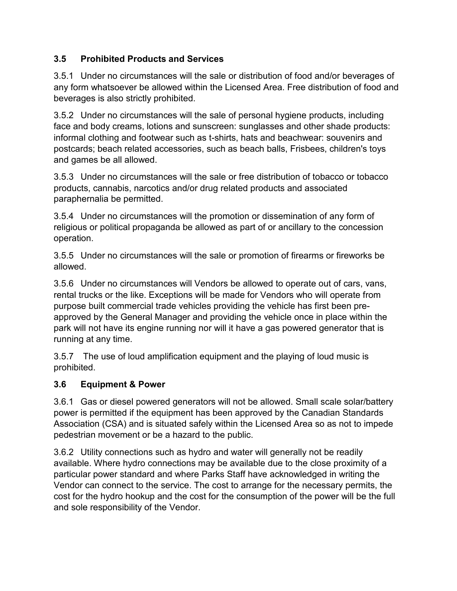## **3.5 Prohibited Products and Services**

3.5.1 Under no circumstances will the sale or distribution of food and/or beverages of any form whatsoever be allowed within the Licensed Area. Free distribution of food and beverages is also strictly prohibited.

3.5.2 Under no circumstances will the sale of personal hygiene products, including face and body creams, lotions and sunscreen: sunglasses and other shade products: informal clothing and footwear such as t-shirts, hats and beachwear: souvenirs and postcards; beach related accessories, such as beach balls, Frisbees, children's toys and games be all allowed.

3.5.3 Under no circumstances will the sale or free distribution of tobacco or tobacco products, cannabis, narcotics and/or drug related products and associated paraphernalia be permitted.

3.5.4 Under no circumstances will the promotion or dissemination of any form of religious or political propaganda be allowed as part of or ancillary to the concession operation.

3.5.5 Under no circumstances will the sale or promotion of firearms or fireworks be allowed.

3.5.6 Under no circumstances will Vendors be allowed to operate out of cars, vans, rental trucks or the like. Exceptions will be made for Vendors who will operate from purpose built commercial trade vehicles providing the vehicle has first been preapproved by the General Manager and providing the vehicle once in place within the park will not have its engine running nor will it have a gas powered generator that is running at any time.

3.5.7 The use of loud amplification equipment and the playing of loud music is prohibited.

## **3.6 Equipment & Power**

3.6.1 Gas or diesel powered generators will not be allowed. Small scale solar/battery power is permitted if the equipment has been approved by the Canadian Standards Association (CSA) and is situated safely within the Licensed Area so as not to impede pedestrian movement or be a hazard to the public.

3.6.2 Utility connections such as hydro and water will generally not be readily available. Where hydro connections may be available due to the close proximity of a particular power standard and where Parks Staff have acknowledged in writing the Vendor can connect to the service. The cost to arrange for the necessary permits, the cost for the hydro hookup and the cost for the consumption of the power will be the full and sole responsibility of the Vendor.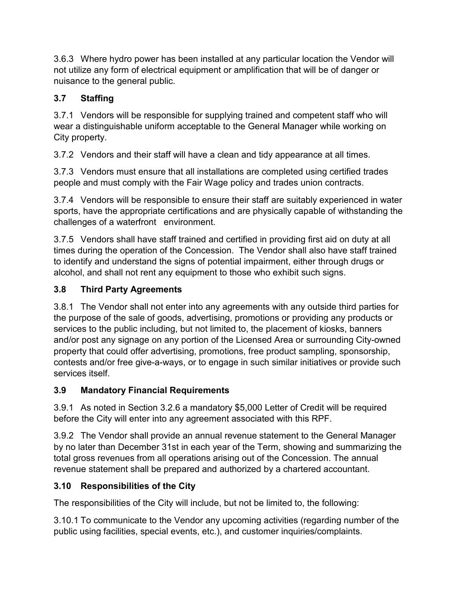3.6.3 Where hydro power has been installed at any particular location the Vendor will not utilize any form of electrical equipment or amplification that will be of danger or nuisance to the general public.

## **3.7 Staffing**

3.7.1 Vendors will be responsible for supplying trained and competent staff who will wear a distinguishable uniform acceptable to the General Manager while working on City property.

3.7.2 Vendors and their staff will have a clean and tidy appearance at all times.

3.7.3 Vendors must ensure that all installations are completed using certified trades people and must comply with the Fair Wage policy and trades union contracts.

3.7.4 Vendors will be responsible to ensure their staff are suitably experienced in water sports, have the appropriate certifications and are physically capable of withstanding the challenges of a waterfront environment.

3.7.5 Vendors shall have staff trained and certified in providing first aid on duty at all times during the operation of the Concession. The Vendor shall also have staff trained to identify and understand the signs of potential impairment, either through drugs or alcohol, and shall not rent any equipment to those who exhibit such signs.

## **3.8 Third Party Agreements**

3.8.1 The Vendor shall not enter into any agreements with any outside third parties for the purpose of the sale of goods, advertising, promotions or providing any products or services to the public including, but not limited to, the placement of kiosks, banners and/or post any signage on any portion of the Licensed Area or surrounding City-owned property that could offer advertising, promotions, free product sampling, sponsorship, contests and/or free give-a-ways, or to engage in such similar initiatives or provide such services itself.

## **3.9 Mandatory Financial Requirements**

3.9.1 As noted in Section 3.2.6 a mandatory \$5,000 Letter of Credit will be required before the City will enter into any agreement associated with this RPF.

3.9.2 The Vendor shall provide an annual revenue statement to the General Manager by no later than December 31st in each year of the Term, showing and summarizing the total gross revenues from all operations arising out of the Concession. The annual revenue statement shall be prepared and authorized by a chartered accountant.

## **3.10 Responsibilities of the City**

The responsibilities of the City will include, but not be limited to, the following:

3.10.1 To communicate to the Vendor any upcoming activities (regarding number of the public using facilities, special events, etc.), and customer inquiries/complaints.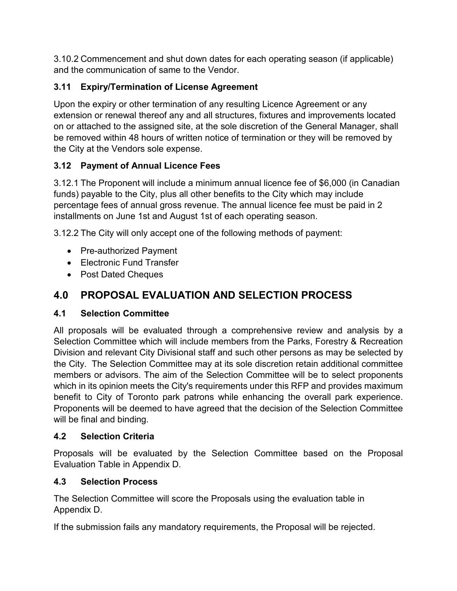3.10.2 Commencement and shut down dates for each operating season (if applicable) and the communication of same to the Vendor.

## **3.11 Expiry/Termination of License Agreement**

Upon the expiry or other termination of any resulting Licence Agreement or any extension or renewal thereof any and all structures, fixtures and improvements located on or attached to the assigned site, at the sole discretion of the General Manager, shall be removed within 48 hours of written notice of termination or they will be removed by the City at the Vendors sole expense.

## **3.12 Payment of Annual Licence Fees**

3.12.1 The Proponent will include a minimum annual licence fee of \$6,000 (in Canadian funds) payable to the City, plus all other benefits to the City which may include percentage fees of annual gross revenue. The annual licence fee must be paid in 2 installments on June 1st and August 1st of each operating season.

3.12.2 The City will only accept one of the following methods of payment:

- Pre-authorized Payment
- Electronic Fund Transfer
- Post Dated Cheques

# **4.0 PROPOSAL EVALUATION AND SELECTION PROCESS**

## **4.1 Selection Committee**

All proposals will be evaluated through a comprehensive review and analysis by a Selection Committee which will include members from the Parks, Forestry & Recreation Division and relevant City Divisional staff and such other persons as may be selected by the City. The Selection Committee may at its sole discretion retain additional committee members or advisors. The aim of the Selection Committee will be to select proponents which in its opinion meets the City's requirements under this RFP and provides maximum benefit to City of Toronto park patrons while enhancing the overall park experience. Proponents will be deemed to have agreed that the decision of the Selection Committee will be final and binding.

## **4.2 Selection Criteria**

Proposals will be evaluated by the Selection Committee based on the Proposal Evaluation Table in Appendix D.

## **4.3 Selection Process**

The Selection Committee will score the Proposals using the evaluation table in Appendix D.

If the submission fails any mandatory requirements, the Proposal will be rejected.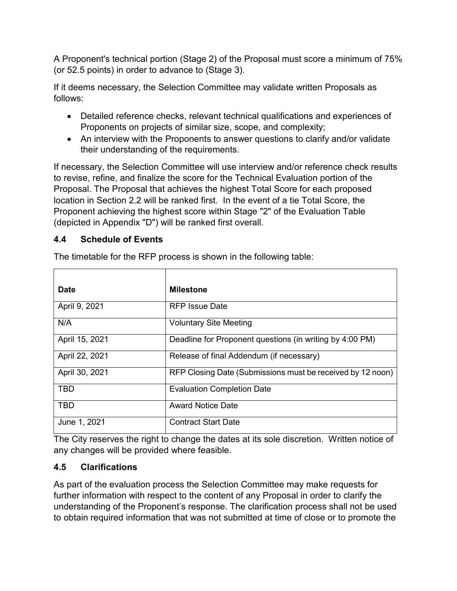A Proponent's technical portion (Stage 2) of the Proposal must score a minimum of 75% (or 52.5 points) in order to advance to (Stage 3).

If it deems necessary, the Selection Committee may validate written Proposals as follows:

- Detailed reference checks, relevant technical qualifications and experiences of Proponents on projects of similar size, scope, and complexity;
- An interview with the Proponents to answer questions to clarify and/or validate their understanding of the requirements.

If necessary, the Selection Committee will use interview and/or reference check results to revise, refine, and finalize the score for the Technical Evaluation portion of the Proposal. The Proposal that achieves the highest Total Score for each proposed location in Section 2.2 will be ranked first. In the event of a tie Total Score, the Proponent achieving the highest score within Stage "2" of the Evaluation Table (depicted in Appendix "D") will be ranked first overall.

### **4.4 Schedule of Events**

| <b>Date</b>    | <b>Milestone</b>                                           |
|----------------|------------------------------------------------------------|
| April 9, 2021  | RFP Issue Date                                             |
| N/A            | <b>Voluntary Site Meeting</b>                              |
| April 15, 2021 | Deadline for Proponent questions (in writing by 4:00 PM)   |
| April 22, 2021 | Release of final Addendum (if necessary)                   |
| April 30, 2021 | RFP Closing Date (Submissions must be received by 12 noon) |
| <b>TBD</b>     | <b>Evaluation Completion Date</b>                          |
| <b>TBD</b>     | <b>Award Notice Date</b>                                   |
| June 1, 2021   | <b>Contract Start Date</b>                                 |

The timetable for the RFP process is shown in the following table:

The City reserves the right to change the dates at its sole discretion. Written notice of any changes will be provided where feasible.

## **4.5 Clarifications**

As part of the evaluation process the Selection Committee may make requests for further information with respect to the content of any Proposal in order to clarify the understanding of the Proponent's response. The clarification process shall not be used to obtain required information that was not submitted at time of close or to promote the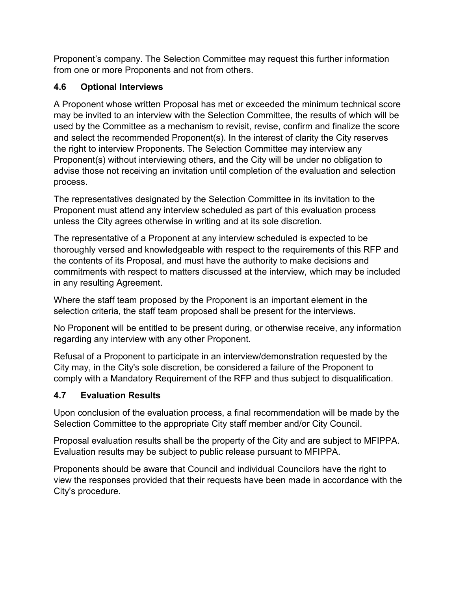Proponent's company. The Selection Committee may request this further information from one or more Proponents and not from others.

## **4.6 Optional Interviews**

A Proponent whose written Proposal has met or exceeded the minimum technical score may be invited to an interview with the Selection Committee, the results of which will be used by the Committee as a mechanism to revisit, revise, confirm and finalize the score and select the recommended Proponent(s). In the interest of clarity the City reserves the right to interview Proponents. The Selection Committee may interview any Proponent(s) without interviewing others, and the City will be under no obligation to advise those not receiving an invitation until completion of the evaluation and selection process.

The representatives designated by the Selection Committee in its invitation to the Proponent must attend any interview scheduled as part of this evaluation process unless the City agrees otherwise in writing and at its sole discretion.

The representative of a Proponent at any interview scheduled is expected to be thoroughly versed and knowledgeable with respect to the requirements of this RFP and the contents of its Proposal, and must have the authority to make decisions and commitments with respect to matters discussed at the interview, which may be included in any resulting Agreement.

Where the staff team proposed by the Proponent is an important element in the selection criteria, the staff team proposed shall be present for the interviews.

No Proponent will be entitled to be present during, or otherwise receive, any information regarding any interview with any other Proponent.

Refusal of a Proponent to participate in an interview/demonstration requested by the City may, in the City's sole discretion, be considered a failure of the Proponent to comply with a Mandatory Requirement of the RFP and thus subject to disqualification.

## **4.7 Evaluation Results**

Upon conclusion of the evaluation process, a final recommendation will be made by the Selection Committee to the appropriate City staff member and/or City Council.

Proposal evaluation results shall be the property of the City and are subject to MFIPPA. Evaluation results may be subject to public release pursuant to MFIPPA.

Proponents should be aware that Council and individual Councilors have the right to view the responses provided that their requests have been made in accordance with the City's procedure.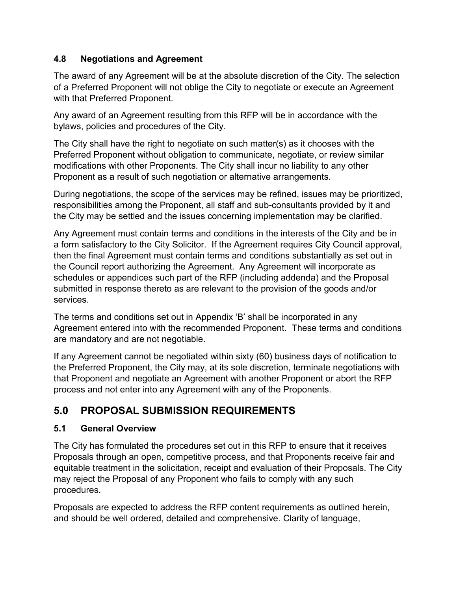## **4.8 Negotiations and Agreement**

The award of any Agreement will be at the absolute discretion of the City. The selection of a Preferred Proponent will not oblige the City to negotiate or execute an Agreement with that Preferred Proponent.

Any award of an Agreement resulting from this RFP will be in accordance with the bylaws, policies and procedures of the City.

The City shall have the right to negotiate on such matter(s) as it chooses with the Preferred Proponent without obligation to communicate, negotiate, or review similar modifications with other Proponents. The City shall incur no liability to any other Proponent as a result of such negotiation or alternative arrangements.

During negotiations, the scope of the services may be refined, issues may be prioritized, responsibilities among the Proponent, all staff and sub-consultants provided by it and the City may be settled and the issues concerning implementation may be clarified.

Any Agreement must contain terms and conditions in the interests of the City and be in a form satisfactory to the City Solicitor. If the Agreement requires City Council approval, then the final Agreement must contain terms and conditions substantially as set out in the Council report authorizing the Agreement. Any Agreement will incorporate as schedules or appendices such part of the RFP (including addenda) and the Proposal submitted in response thereto as are relevant to the provision of the goods and/or services.

The terms and conditions set out in Appendix 'B' shall be incorporated in any Agreement entered into with the recommended Proponent. These terms and conditions are mandatory and are not negotiable.

If any Agreement cannot be negotiated within sixty (60) business days of notification to the Preferred Proponent, the City may, at its sole discretion, terminate negotiations with that Proponent and negotiate an Agreement with another Proponent or abort the RFP process and not enter into any Agreement with any of the Proponents.

# **5.0 PROPOSAL SUBMISSION REQUIREMENTS**

## **5.1 General Overview**

The City has formulated the procedures set out in this RFP to ensure that it receives Proposals through an open, competitive process, and that Proponents receive fair and equitable treatment in the solicitation, receipt and evaluation of their Proposals. The City may reject the Proposal of any Proponent who fails to comply with any such procedures.

Proposals are expected to address the RFP content requirements as outlined herein, and should be well ordered, detailed and comprehensive. Clarity of language,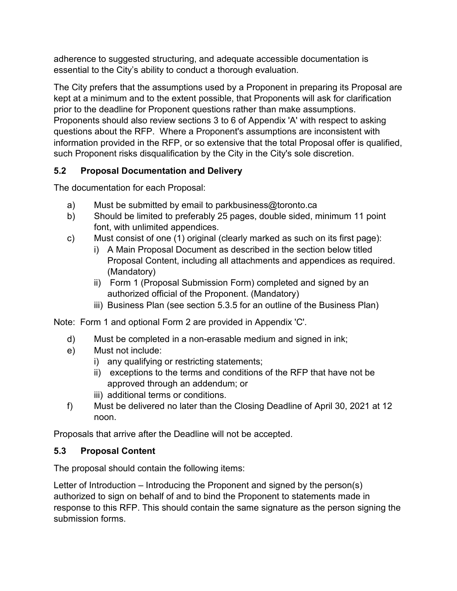adherence to suggested structuring, and adequate accessible documentation is essential to the City's ability to conduct a thorough evaluation.

The City prefers that the assumptions used by a Proponent in preparing its Proposal are kept at a minimum and to the extent possible, that Proponents will ask for clarification prior to the deadline for Proponent questions rather than make assumptions. Proponents should also review sections 3 to 6 of Appendix 'A' with respect to asking questions about the RFP. Where a Proponent's assumptions are inconsistent with information provided in the RFP, or so extensive that the total Proposal offer is qualified, such Proponent risks disqualification by the City in the City's sole discretion.

## **5.2 Proposal Documentation and Delivery**

The documentation for each Proposal:

- a) Must be submitted by email to parkbusiness@toronto.ca
- b) Should be limited to preferably 25 pages, double sided, minimum 11 point font, with unlimited appendices.
- c) Must consist of one (1) original (clearly marked as such on its first page):
	- i) A Main Proposal Document as described in the section below titled Proposal Content, including all attachments and appendices as required. (Mandatory)
	- ii) Form 1 (Proposal Submission Form) completed and signed by an authorized official of the Proponent. (Mandatory)
	- iii) Business Plan (see section 5.3.5 for an outline of the Business Plan)

Note: Form 1 and optional Form 2 are provided in Appendix 'C'.

- d) Must be completed in a non-erasable medium and signed in ink;
- e) Must not include:
	- i) any qualifying or restricting statements;
	- ii) exceptions to the terms and conditions of the RFP that have not be approved through an addendum; or
	- iii) additional terms or conditions.
- f) Must be delivered no later than the Closing Deadline of April 30, 2021 at 12 noon.

Proposals that arrive after the Deadline will not be accepted.

## **5.3 Proposal Content**

The proposal should contain the following items:

Letter of Introduction – Introducing the Proponent and signed by the person(s) authorized to sign on behalf of and to bind the Proponent to statements made in response to this RFP. This should contain the same signature as the person signing the submission forms.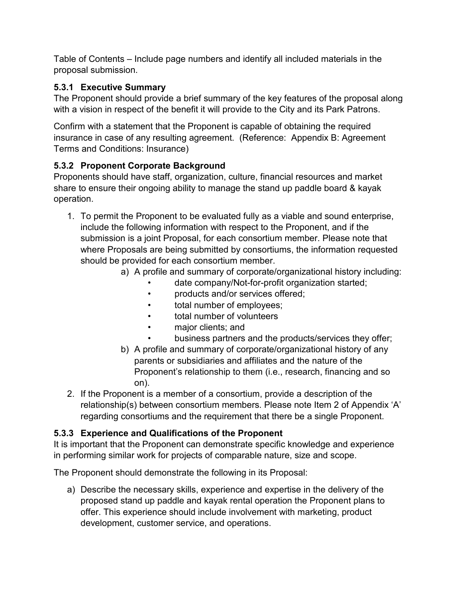Table of Contents – Include page numbers and identify all included materials in the proposal submission.

## **5.3.1 Executive Summary**

The Proponent should provide a brief summary of the key features of the proposal along with a vision in respect of the benefit it will provide to the City and its Park Patrons.

Confirm with a statement that the Proponent is capable of obtaining the required insurance in case of any resulting agreement. (Reference: Appendix B: Agreement Terms and Conditions: Insurance)

## **5.3.2 Proponent Corporate Background**

Proponents should have staff, organization, culture, financial resources and market share to ensure their ongoing ability to manage the stand up paddle board & kayak operation.

- 1. To permit the Proponent to be evaluated fully as a viable and sound enterprise, include the following information with respect to the Proponent, and if the submission is a joint Proposal, for each consortium member. Please note that where Proposals are being submitted by consortiums, the information requested should be provided for each consortium member.
	- a) A profile and summary of corporate/organizational history including:
		- date company/Not-for-profit organization started;
		- products and/or services offered;
		- total number of employees;
		- total number of volunteers
		- major clients; and
		- business partners and the products/services they offer;
	- b) A profile and summary of corporate/organizational history of any parents or subsidiaries and affiliates and the nature of the Proponent's relationship to them (i.e., research, financing and so on).
- 2. If the Proponent is a member of a consortium, provide a description of the relationship(s) between consortium members. Please note Item 2 of Appendix 'A' regarding consortiums and the requirement that there be a single Proponent.

## **5.3.3 Experience and Qualifications of the Proponent**

It is important that the Proponent can demonstrate specific knowledge and experience in performing similar work for projects of comparable nature, size and scope.

The Proponent should demonstrate the following in its Proposal:

a) Describe the necessary skills, experience and expertise in the delivery of the proposed stand up paddle and kayak rental operation the Proponent plans to offer. This experience should include involvement with marketing, product development, customer service, and operations.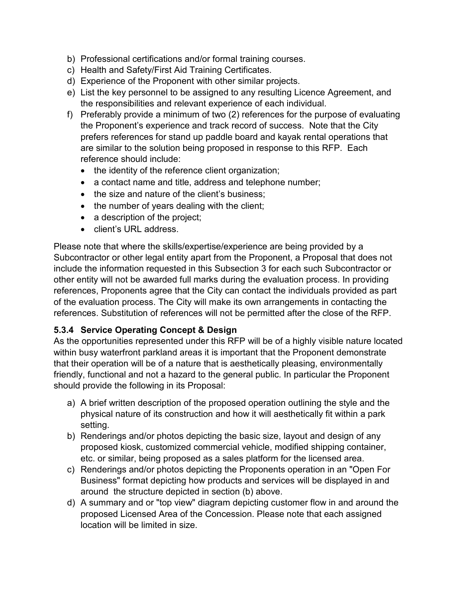- b) Professional certifications and/or formal training courses.
- c) Health and Safety/First Aid Training Certificates.
- d) Experience of the Proponent with other similar projects.
- e) List the key personnel to be assigned to any resulting Licence Agreement, and the responsibilities and relevant experience of each individual.
- f) Preferably provide a minimum of two (2) references for the purpose of evaluating the Proponent's experience and track record of success. Note that the City prefers references for stand up paddle board and kayak rental operations that are similar to the solution being proposed in response to this RFP. Each reference should include:
	- the identity of the reference client organization;
	- a contact name and title, address and telephone number;
	- the size and nature of the client's business:
	- the number of years dealing with the client;
	- a description of the project;
	- client's URL address.

Please note that where the skills/expertise/experience are being provided by a Subcontractor or other legal entity apart from the Proponent, a Proposal that does not include the information requested in this Subsection 3 for each such Subcontractor or other entity will not be awarded full marks during the evaluation process. In providing references, Proponents agree that the City can contact the individuals provided as part of the evaluation process. The City will make its own arrangements in contacting the references. Substitution of references will not be permitted after the close of the RFP.

#### **5.3.4 Service Operating Concept & Design**

As the opportunities represented under this RFP will be of a highly visible nature located within busy waterfront parkland areas it is important that the Proponent demonstrate that their operation will be of a nature that is aesthetically pleasing, environmentally friendly, functional and not a hazard to the general public. In particular the Proponent should provide the following in its Proposal:

- a) A brief written description of the proposed operation outlining the style and the physical nature of its construction and how it will aesthetically fit within a park setting.
- b) Renderings and/or photos depicting the basic size, layout and design of any proposed kiosk, customized commercial vehicle, modified shipping container, etc. or similar, being proposed as a sales platform for the licensed area.
- c) Renderings and/or photos depicting the Proponents operation in an "Open For Business" format depicting how products and services will be displayed in and around the structure depicted in section (b) above.
- d) A summary and or "top view" diagram depicting customer flow in and around the proposed Licensed Area of the Concession. Please note that each assigned location will be limited in size.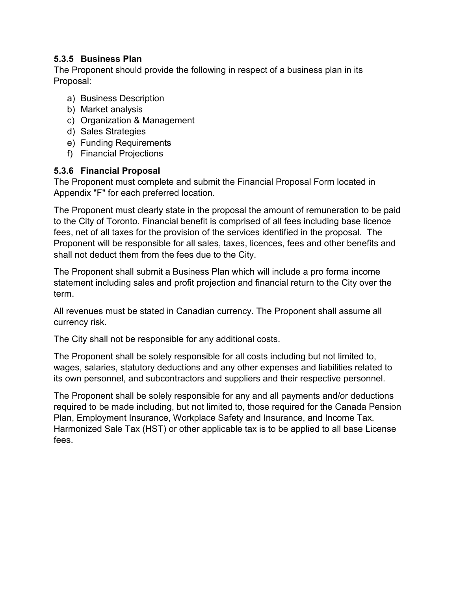#### **5.3.5 Business Plan**

The Proponent should provide the following in respect of a business plan in its Proposal:

- a) Business Description
- b) Market analysis
- c) Organization & Management
- d) Sales Strategies
- e) Funding Requirements
- f) Financial Projections

#### **5.3.6 Financial Proposal**

The Proponent must complete and submit the Financial Proposal Form located in Appendix "F" for each preferred location.

The Proponent must clearly state in the proposal the amount of remuneration to be paid to the City of Toronto. Financial benefit is comprised of all fees including base licence fees, net of all taxes for the provision of the services identified in the proposal. The Proponent will be responsible for all sales, taxes, licences, fees and other benefits and shall not deduct them from the fees due to the City.

The Proponent shall submit a Business Plan which will include a pro forma income statement including sales and profit projection and financial return to the City over the term.

All revenues must be stated in Canadian currency. The Proponent shall assume all currency risk.

The City shall not be responsible for any additional costs.

The Proponent shall be solely responsible for all costs including but not limited to, wages, salaries, statutory deductions and any other expenses and liabilities related to its own personnel, and subcontractors and suppliers and their respective personnel.

The Proponent shall be solely responsible for any and all payments and/or deductions required to be made including, but not limited to, those required for the Canada Pension Plan, Employment Insurance, Workplace Safety and Insurance, and Income Tax. Harmonized Sale Tax (HST) or other applicable tax is to be applied to all base License fees.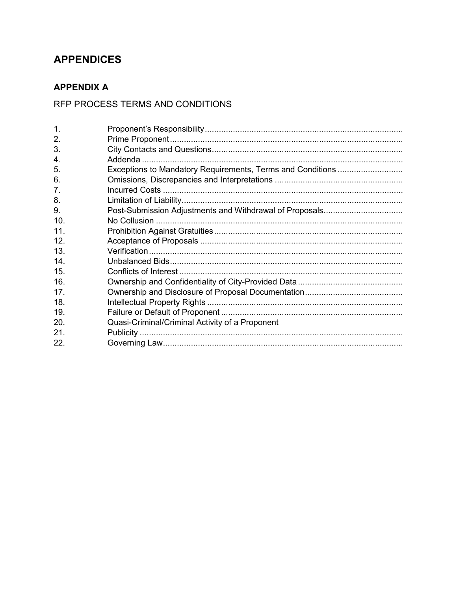## **APPENDICES**

## **APPENDIX A**

## RFP PROCESS TERMS AND CONDITIONS

| $\mathbf 1$ .  |                                                            |
|----------------|------------------------------------------------------------|
| 2.             |                                                            |
| 3.             |                                                            |
| 4.             |                                                            |
| 5.             | Exceptions to Mandatory Requirements, Terms and Conditions |
| 6.             |                                                            |
| 7 <sub>1</sub> |                                                            |
| 8.             |                                                            |
| 9.             |                                                            |
| 10.            |                                                            |
| 11.            |                                                            |
| 12.            |                                                            |
| 13.            |                                                            |
| 14.            |                                                            |
| 15.            |                                                            |
| 16.            |                                                            |
| 17.            |                                                            |
| 18.            |                                                            |
| 19.            |                                                            |
| 20.            | Quasi-Criminal/Criminal Activity of a Proponent            |
| 21.            |                                                            |
| 22.            |                                                            |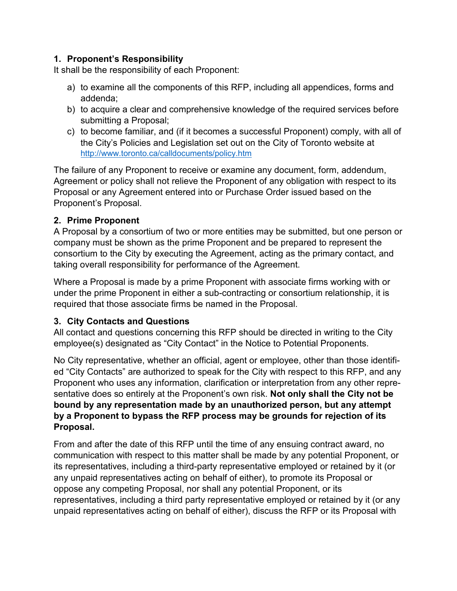#### **1. Proponent's Responsibility**

It shall be the responsibility of each Proponent:

- a) to examine all the components of this RFP, including all appendices, forms and addenda;
- b) to acquire a clear and comprehensive knowledge of the required services before submitting a Proposal;
- c) to become familiar, and (if it becomes a successful Proponent) comply, with all of the City's Policies and Legislation set out on the City of Toronto website at <http://www.toronto.ca/calldocuments/policy.htm>

The failure of any Proponent to receive or examine any document, form, addendum, Agreement or policy shall not relieve the Proponent of any obligation with respect to its Proposal or any Agreement entered into or Purchase Order issued based on the Proponent's Proposal.

### **2. Prime Proponent**

A Proposal by a consortium of two or more entities may be submitted, but one person or company must be shown as the prime Proponent and be prepared to represent the consortium to the City by executing the Agreement, acting as the primary contact, and taking overall responsibility for performance of the Agreement.

Where a Proposal is made by a prime Proponent with associate firms working with or under the prime Proponent in either a sub-contracting or consortium relationship, it is required that those associate firms be named in the Proposal.

#### **3. City Contacts and Questions**

All contact and questions concerning this RFP should be directed in writing to the City employee(s) designated as "City Contact" in the Notice to Potential Proponents.

No City representative, whether an official, agent or employee, other than those identified "City Contacts" are authorized to speak for the City with respect to this RFP, and any Proponent who uses any information, clarification or interpretation from any other representative does so entirely at the Proponent's own risk. **Not only shall the City not be bound by any representation made by an unauthorized person, but any attempt by a Proponent to bypass the RFP process may be grounds for rejection of its Proposal.**

From and after the date of this RFP until the time of any ensuing contract award, no communication with respect to this matter shall be made by any potential Proponent, or its representatives, including a third-party representative employed or retained by it (or any unpaid representatives acting on behalf of either), to promote its Proposal or oppose any competing Proposal, nor shall any potential Proponent, or its representatives, including a third party representative employed or retained by it (or any unpaid representatives acting on behalf of either), discuss the RFP or its Proposal with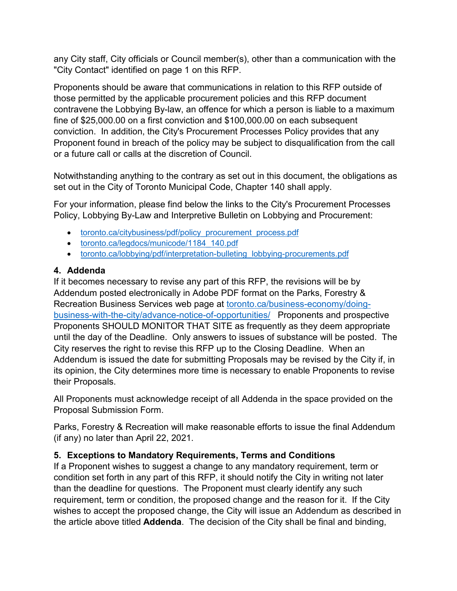any City staff, City officials or Council member(s), other than a communication with the "City Contact" identified on page 1 on this RFP.

Proponents should be aware that communications in relation to this RFP outside of those permitted by the applicable procurement policies and this RFP document contravene the Lobbying By-law, an offence for which a person is liable to a maximum fine of \$25,000.00 on a first conviction and \$100,000.00 on each subsequent conviction. In addition, the City's Procurement Processes Policy provides that any Proponent found in breach of the policy may be subject to disqualification from the call or a future call or calls at the discretion of Council.

Notwithstanding anything to the contrary as set out in this document, the obligations as set out in the City of Toronto Municipal Code, Chapter 140 shall apply.

For your information, please find below the links to the City's Procurement Processes Policy, Lobbying By-Law and Interpretive Bulletin on Lobbying and Procurement:

- [toronto.ca/citybusiness/pdf/policy\\_procurement\\_process.pdf](http://www.toronto.ca/citybusiness/pdf/policy_procurement_process.pdf)
- [toronto.ca/legdocs/municode/1184\\_140.pdf](http://www.toronto.ca/legdocs/municode/1184_140.pdf)
- toronto.ca/lobbying/pdf/interpretation-bulleting lobbying-procurements.pdf

### **4. Addenda**

If it becomes necessary to revise any part of this RFP, the revisions will be by Addendum posted electronically in Adobe PDF format on the Parks, Forestry & Recreation Business Services web page at [toronto.ca/business-economy/doing](https://www.toronto.ca/business-economy/doing-business-with-the-city/advance-notice-of-opportunities/)[business-with-the-city/advance-notice-of-opportunities/](https://www.toronto.ca/business-economy/doing-business-with-the-city/advance-notice-of-opportunities/) Proponents and prospective Proponents SHOULD MONITOR THAT SITE as frequently as they deem appropriate until the day of the Deadline. Only answers to issues of substance will be posted. The City reserves the right to revise this RFP up to the Closing Deadline. When an Addendum is issued the date for submitting Proposals may be revised by the City if, in its opinion, the City determines more time is necessary to enable Proponents to revise their Proposals.

All Proponents must acknowledge receipt of all Addenda in the space provided on the Proposal Submission Form.

Parks, Forestry & Recreation will make reasonable efforts to issue the final Addendum (if any) no later than April 22, 2021.

## **5. Exceptions to Mandatory Requirements, Terms and Conditions**

If a Proponent wishes to suggest a change to any mandatory requirement, term or condition set forth in any part of this RFP, it should notify the City in writing not later than the deadline for questions. The Proponent must clearly identify any such requirement, term or condition, the proposed change and the reason for it. If the City wishes to accept the proposed change, the City will issue an Addendum as described in the article above titled **Addenda**. The decision of the City shall be final and binding,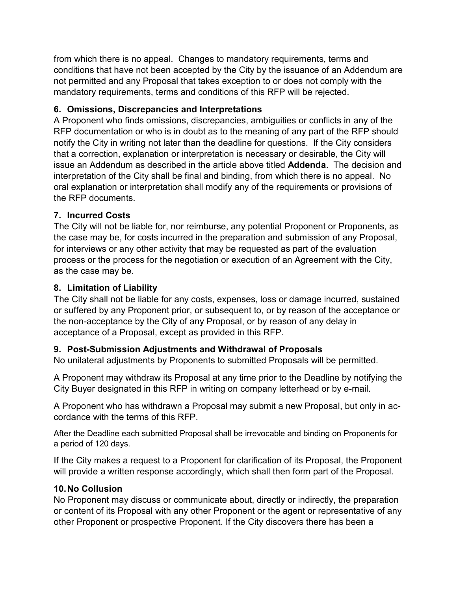from which there is no appeal. Changes to mandatory requirements, terms and conditions that have not been accepted by the City by the issuance of an Addendum are not permitted and any Proposal that takes exception to or does not comply with the mandatory requirements, terms and conditions of this RFP will be rejected.

## **6. Omissions, Discrepancies and Interpretations**

A Proponent who finds omissions, discrepancies, ambiguities or conflicts in any of the RFP documentation or who is in doubt as to the meaning of any part of the RFP should notify the City in writing not later than the deadline for questions. If the City considers that a correction, explanation or interpretation is necessary or desirable, the City will issue an Addendum as described in the article above titled **Addenda**. The decision and interpretation of the City shall be final and binding, from which there is no appeal. No oral explanation or interpretation shall modify any of the requirements or provisions of the RFP documents.

## **7. Incurred Costs**

The City will not be liable for, nor reimburse, any potential Proponent or Proponents, as the case may be, for costs incurred in the preparation and submission of any Proposal, for interviews or any other activity that may be requested as part of the evaluation process or the process for the negotiation or execution of an Agreement with the City, as the case may be.

## **8. Limitation of Liability**

The City shall not be liable for any costs, expenses, loss or damage incurred, sustained or suffered by any Proponent prior, or subsequent to, or by reason of the acceptance or the non-acceptance by the City of any Proposal, or by reason of any delay in acceptance of a Proposal, except as provided in this RFP.

## **9. Post-Submission Adjustments and Withdrawal of Proposals**

No unilateral adjustments by Proponents to submitted Proposals will be permitted.

A Proponent may withdraw its Proposal at any time prior to the Deadline by notifying the City Buyer designated in this RFP in writing on company letterhead or by e-mail.

A Proponent who has withdrawn a Proposal may submit a new Proposal, but only in accordance with the terms of this RFP.

After the Deadline each submitted Proposal shall be irrevocable and binding on Proponents for a period of 120 days.

If the City makes a request to a Proponent for clarification of its Proposal, the Proponent will provide a written response accordingly, which shall then form part of the Proposal.

## **10.No Collusion**

No Proponent may discuss or communicate about, directly or indirectly, the preparation or content of its Proposal with any other Proponent or the agent or representative of any other Proponent or prospective Proponent. If the City discovers there has been a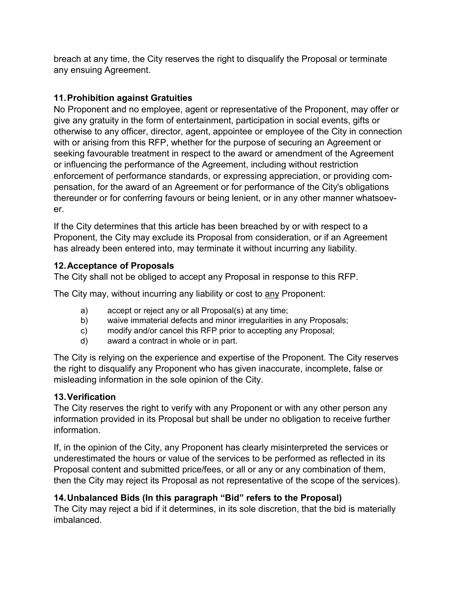breach at any time, the City reserves the right to disqualify the Proposal or terminate any ensuing Agreement.

## **11.Prohibition against Gratuities**

No Proponent and no employee, agent or representative of the Proponent, may offer or give any gratuity in the form of entertainment, participation in social events, gifts or otherwise to any officer, director, agent, appointee or employee of the City in connection with or arising from this RFP, whether for the purpose of securing an Agreement or seeking favourable treatment in respect to the award or amendment of the Agreement or influencing the performance of the Agreement, including without restriction enforcement of performance standards, or expressing appreciation, or providing compensation, for the award of an Agreement or for performance of the City's obligations thereunder or for conferring favours or being lenient, or in any other manner whatsoever.

If the City determines that this article has been breached by or with respect to a Proponent, the City may exclude its Proposal from consideration, or if an Agreement has already been entered into, may terminate it without incurring any liability.

## **12.Acceptance of Proposals**

The City shall not be obliged to accept any Proposal in response to this RFP.

The City may, without incurring any liability or cost to any Proponent:

- a) accept or reject any or all Proposal(s) at any time;
- b) waive immaterial defects and minor irregularities in any Proposals;
- c) modify and/or cancel this RFP prior to accepting any Proposal;
- d) award a contract in whole or in part.

The City is relying on the experience and expertise of the Proponent. The City reserves the right to disqualify any Proponent who has given inaccurate, incomplete, false or misleading information in the sole opinion of the City.

## **13.Verification**

The City reserves the right to verify with any Proponent or with any other person any information provided in its Proposal but shall be under no obligation to receive further information.

If, in the opinion of the City, any Proponent has clearly misinterpreted the services or underestimated the hours or value of the services to be performed as reflected in its Proposal content and submitted price/fees, or all or any or any combination of them, then the City may reject its Proposal as not representative of the scope of the services).

## **14.Unbalanced Bids (In this paragraph "Bid" refers to the Proposal)**

The City may reject a bid if it determines, in its sole discretion, that the bid is materially imbalanced.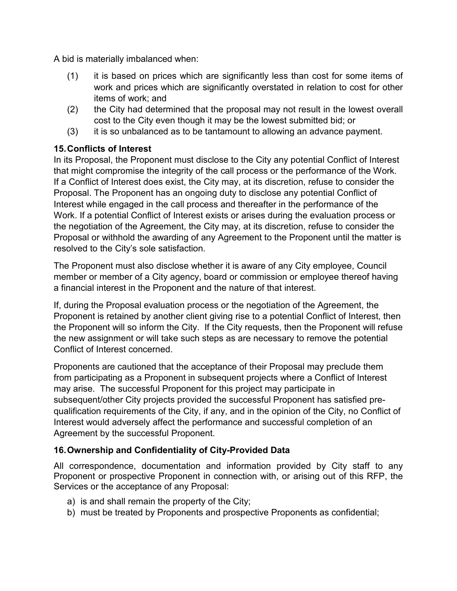A bid is materially imbalanced when:

- (1) it is based on prices which are significantly less than cost for some items of work and prices which are significantly overstated in relation to cost for other items of work; and
- (2) the City had determined that the proposal may not result in the lowest overall cost to the City even though it may be the lowest submitted bid; or
- (3) it is so unbalanced as to be tantamount to allowing an advance payment.

### **15.Conflicts of Interest**

In its Proposal, the Proponent must disclose to the City any potential Conflict of Interest that might compromise the integrity of the call process or the performance of the Work. If a Conflict of Interest does exist, the City may, at its discretion, refuse to consider the Proposal. The Proponent has an ongoing duty to disclose any potential Conflict of Interest while engaged in the call process and thereafter in the performance of the Work. If a potential Conflict of Interest exists or arises during the evaluation process or the negotiation of the Agreement, the City may, at its discretion, refuse to consider the Proposal or withhold the awarding of any Agreement to the Proponent until the matter is resolved to the City's sole satisfaction.

The Proponent must also disclose whether it is aware of any City employee, Council member or member of a City agency, board or commission or employee thereof having a financial interest in the Proponent and the nature of that interest.

If, during the Proposal evaluation process or the negotiation of the Agreement, the Proponent is retained by another client giving rise to a potential Conflict of Interest, then the Proponent will so inform the City. If the City requests, then the Proponent will refuse the new assignment or will take such steps as are necessary to remove the potential Conflict of Interest concerned.

Proponents are cautioned that the acceptance of their Proposal may preclude them from participating as a Proponent in subsequent projects where a Conflict of Interest may arise. The successful Proponent for this project may participate in subsequent/other City projects provided the successful Proponent has satisfied prequalification requirements of the City, if any, and in the opinion of the City, no Conflict of Interest would adversely affect the performance and successful completion of an Agreement by the successful Proponent.

## **16.Ownership and Confidentiality of City-Provided Data**

All correspondence, documentation and information provided by City staff to any Proponent or prospective Proponent in connection with, or arising out of this RFP, the Services or the acceptance of any Proposal:

- a) is and shall remain the property of the City;
- b) must be treated by Proponents and prospective Proponents as confidential;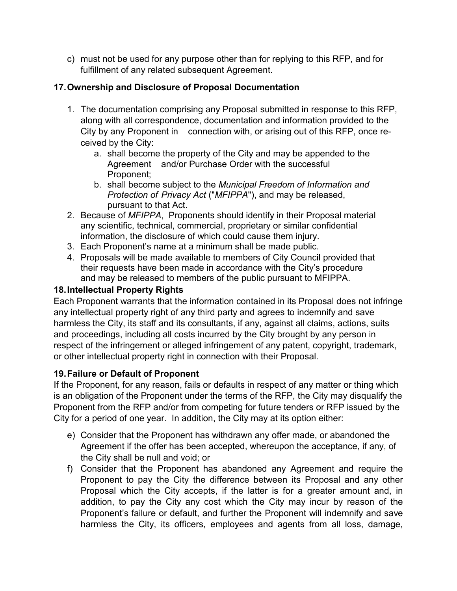c) must not be used for any purpose other than for replying to this RFP, and for fulfillment of any related subsequent Agreement.

## **17.Ownership and Disclosure of Proposal Documentation**

- 1. The documentation comprising any Proposal submitted in response to this RFP, along with all correspondence, documentation and information provided to the City by any Proponent in connection with, or arising out of this RFP, once received by the City:
	- a. shall become the property of the City and may be appended to the Agreement and/or Purchase Order with the successful Proponent;
	- b. shall become subject to the *Municipal Freedom of Information and Protection of Privacy Act* ("*MFIPPA*"), and may be released, pursuant to that Act.
- 2. Because of *MFIPPA*, Proponents should identify in their Proposal material any scientific, technical, commercial, proprietary or similar confidential information, the disclosure of which could cause them injury.
- 3. Each Proponent's name at a minimum shall be made public.
- 4. Proposals will be made available to members of City Council provided that their requests have been made in accordance with the City's procedure and may be released to members of the public pursuant to MFIPPA.

### **18.Intellectual Property Rights**

Each Proponent warrants that the information contained in its Proposal does not infringe any intellectual property right of any third party and agrees to indemnify and save harmless the City, its staff and its consultants, if any, against all claims, actions, suits and proceedings, including all costs incurred by the City brought by any person in respect of the infringement or alleged infringement of any patent, copyright, trademark, or other intellectual property right in connection with their Proposal.

#### **19.Failure or Default of Proponent**

If the Proponent, for any reason, fails or defaults in respect of any matter or thing which is an obligation of the Proponent under the terms of the RFP, the City may disqualify the Proponent from the RFP and/or from competing for future tenders or RFP issued by the City for a period of one year. In addition, the City may at its option either:

- e) Consider that the Proponent has withdrawn any offer made, or abandoned the Agreement if the offer has been accepted, whereupon the acceptance, if any, of the City shall be null and void; or
- f) Consider that the Proponent has abandoned any Agreement and require the Proponent to pay the City the difference between its Proposal and any other Proposal which the City accepts, if the latter is for a greater amount and, in addition, to pay the City any cost which the City may incur by reason of the Proponent's failure or default, and further the Proponent will indemnify and save harmless the City, its officers, employees and agents from all loss, damage,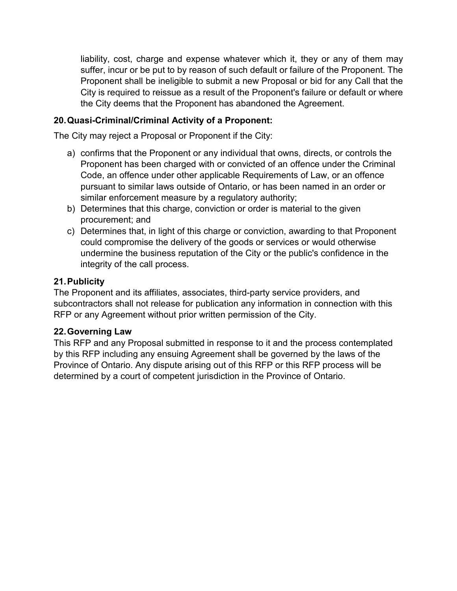liability, cost, charge and expense whatever which it, they or any of them may suffer, incur or be put to by reason of such default or failure of the Proponent. The Proponent shall be ineligible to submit a new Proposal or bid for any Call that the City is required to reissue as a result of the Proponent's failure or default or where the City deems that the Proponent has abandoned the Agreement.

### **20.Quasi-Criminal/Criminal Activity of a Proponent:**

The City may reject a Proposal or Proponent if the City:

- a) confirms that the Proponent or any individual that owns, directs, or controls the Proponent has been charged with or convicted of an offence under the Criminal Code, an offence under other applicable Requirements of Law, or an offence pursuant to similar laws outside of Ontario, or has been named in an order or similar enforcement measure by a regulatory authority;
- b) Determines that this charge, conviction or order is material to the given procurement; and
- c) Determines that, in light of this charge or conviction, awarding to that Proponent could compromise the delivery of the goods or services or would otherwise undermine the business reputation of the City or the public's confidence in the integrity of the call process.

### **21.Publicity**

The Proponent and its affiliates, associates, third-party service providers, and subcontractors shall not release for publication any information in connection with this RFP or any Agreement without prior written permission of the City.

#### **22.Governing Law**

This RFP and any Proposal submitted in response to it and the process contemplated by this RFP including any ensuing Agreement shall be governed by the laws of the Province of Ontario. Any dispute arising out of this RFP or this RFP process will be determined by a court of competent jurisdiction in the Province of Ontario.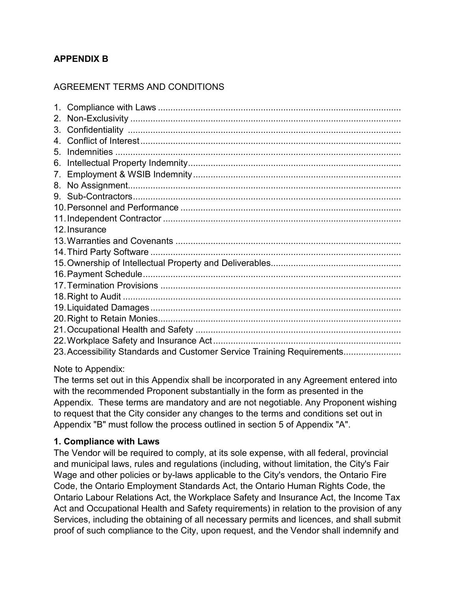## **APPENDIX B**

## AGREEMENT TERMS AND CONDITIONS

| 2. |                                                                        |
|----|------------------------------------------------------------------------|
| 3. |                                                                        |
|    |                                                                        |
| 5. |                                                                        |
| 6. |                                                                        |
| 7. |                                                                        |
|    |                                                                        |
|    |                                                                        |
|    |                                                                        |
|    |                                                                        |
|    | 12. Insurance                                                          |
|    |                                                                        |
|    |                                                                        |
|    |                                                                        |
|    |                                                                        |
|    |                                                                        |
|    |                                                                        |
|    |                                                                        |
|    |                                                                        |
|    |                                                                        |
|    |                                                                        |
|    | 23. Accessibility Standards and Customer Service Training Requirements |

#### Note to Appendix:

The terms set out in this Appendix shall be incorporated in any Agreement entered into with the recommended Proponent substantially in the form as presented in the Appendix. These terms are mandatory and are not negotiable. Any Proponent wishing to request that the City consider any changes to the terms and conditions set out in Appendix "B" must follow the process outlined in section 5 of Appendix "A".

#### **1. Compliance with Laws**

The Vendor will be required to comply, at its sole expense, with all federal, provincial and municipal laws, rules and regulations (including, without limitation, the City's Fair Wage and other policies or by-laws applicable to the City's vendors, the Ontario Fire Code, the Ontario Employment Standards Act, the Ontario Human Rights Code, the Ontario Labour Relations Act, the Workplace Safety and Insurance Act, the Income Tax Act and Occupational Health and Safety requirements) in relation to the provision of any Services, including the obtaining of all necessary permits and licences, and shall submit proof of such compliance to the City, upon request, and the Vendor shall indemnify and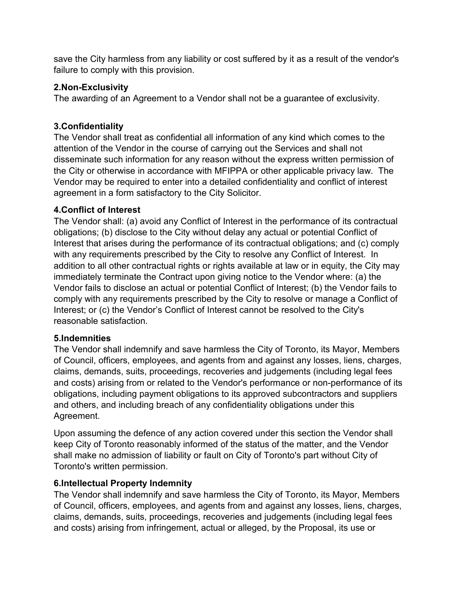save the City harmless from any liability or cost suffered by it as a result of the vendor's failure to comply with this provision.

#### **2.Non-Exclusivity**

The awarding of an Agreement to a Vendor shall not be a guarantee of exclusivity.

#### **3.Confidentiality**

The Vendor shall treat as confidential all information of any kind which comes to the attention of the Vendor in the course of carrying out the Services and shall not disseminate such information for any reason without the express written permission of the City or otherwise in accordance with MFIPPA or other applicable privacy law. The Vendor may be required to enter into a detailed confidentiality and conflict of interest agreement in a form satisfactory to the City Solicitor.

#### **4.Conflict of Interest**

The Vendor shall: (a) avoid any Conflict of Interest in the performance of its contractual obligations; (b) disclose to the City without delay any actual or potential Conflict of Interest that arises during the performance of its contractual obligations; and (c) comply with any requirements prescribed by the City to resolve any Conflict of Interest. In addition to all other contractual rights or rights available at law or in equity, the City may immediately terminate the Contract upon giving notice to the Vendor where: (a) the Vendor fails to disclose an actual or potential Conflict of Interest; (b) the Vendor fails to comply with any requirements prescribed by the City to resolve or manage a Conflict of Interest; or (c) the Vendor's Conflict of Interest cannot be resolved to the City's reasonable satisfaction.

#### **5.Indemnities**

The Vendor shall indemnify and save harmless the City of Toronto, its Mayor, Members of Council, officers, employees, and agents from and against any losses, liens, charges, claims, demands, suits, proceedings, recoveries and judgements (including legal fees and costs) arising from or related to the Vendor's performance or non-performance of its obligations, including payment obligations to its approved subcontractors and suppliers and others, and including breach of any confidentiality obligations under this Agreement.

Upon assuming the defence of any action covered under this section the Vendor shall keep City of Toronto reasonably informed of the status of the matter, and the Vendor shall make no admission of liability or fault on City of Toronto's part without City of Toronto's written permission.

#### **6.Intellectual Property Indemnity**

The Vendor shall indemnify and save harmless the City of Toronto, its Mayor, Members of Council, officers, employees, and agents from and against any losses, liens, charges, claims, demands, suits, proceedings, recoveries and judgements (including legal fees and costs) arising from infringement, actual or alleged, by the Proposal, its use or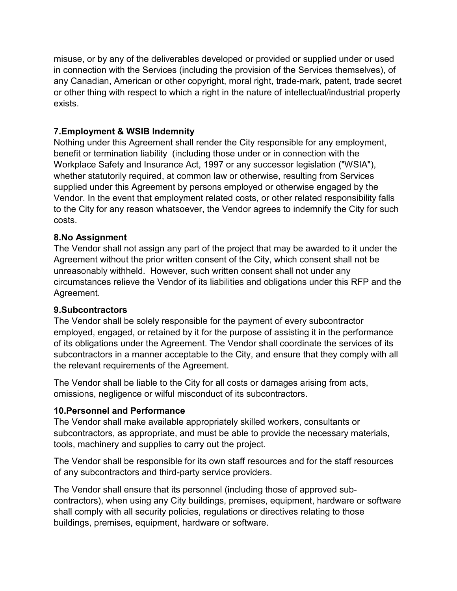misuse, or by any of the deliverables developed or provided or supplied under or used in connection with the Services (including the provision of the Services themselves), of any Canadian, American or other copyright, moral right, trade-mark, patent, trade secret or other thing with respect to which a right in the nature of intellectual/industrial property exists.

### **7.Employment & WSIB Indemnity**

Nothing under this Agreement shall render the City responsible for any employment, benefit or termination liability (including those under or in connection with the Workplace Safety and Insurance Act, 1997 or any successor legislation ("WSIA"), whether statutorily required, at common law or otherwise, resulting from Services supplied under this Agreement by persons employed or otherwise engaged by the Vendor. In the event that employment related costs, or other related responsibility falls to the City for any reason whatsoever, the Vendor agrees to indemnify the City for such costs.

#### **8.No Assignment**

The Vendor shall not assign any part of the project that may be awarded to it under the Agreement without the prior written consent of the City, which consent shall not be unreasonably withheld. However, such written consent shall not under any circumstances relieve the Vendor of its liabilities and obligations under this RFP and the Agreement.

#### **9.Subcontractors**

The Vendor shall be solely responsible for the payment of every subcontractor employed, engaged, or retained by it for the purpose of assisting it in the performance of its obligations under the Agreement. The Vendor shall coordinate the services of its subcontractors in a manner acceptable to the City, and ensure that they comply with all the relevant requirements of the Agreement.

The Vendor shall be liable to the City for all costs or damages arising from acts, omissions, negligence or wilful misconduct of its subcontractors.

#### **10.Personnel and Performance**

The Vendor shall make available appropriately skilled workers, consultants or subcontractors, as appropriate, and must be able to provide the necessary materials, tools, machinery and supplies to carry out the project.

The Vendor shall be responsible for its own staff resources and for the staff resources of any subcontractors and third-party service providers.

The Vendor shall ensure that its personnel (including those of approved subcontractors), when using any City buildings, premises, equipment, hardware or software shall comply with all security policies, regulations or directives relating to those buildings, premises, equipment, hardware or software.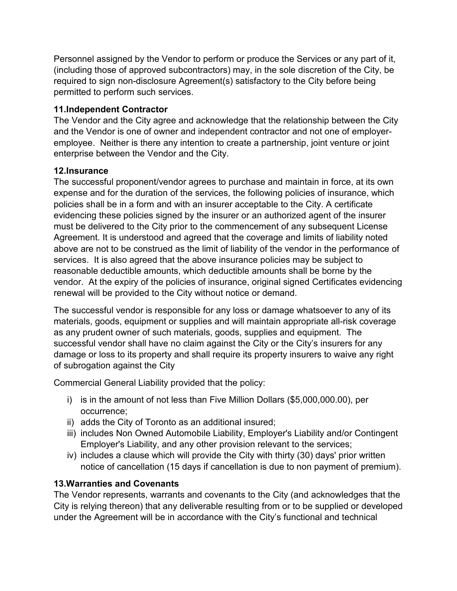Personnel assigned by the Vendor to perform or produce the Services or any part of it, (including those of approved subcontractors) may, in the sole discretion of the City, be required to sign non-disclosure Agreement(s) satisfactory to the City before being permitted to perform such services.

### **11.Independent Contractor**

The Vendor and the City agree and acknowledge that the relationship between the City and the Vendor is one of owner and independent contractor and not one of employeremployee. Neither is there any intention to create a partnership, joint venture or joint enterprise between the Vendor and the City.

### **12.Insurance**

The successful proponent/vendor agrees to purchase and maintain in force, at its own expense and for the duration of the services, the following policies of insurance, which policies shall be in a form and with an insurer acceptable to the City. A certificate evidencing these policies signed by the insurer or an authorized agent of the insurer must be delivered to the City prior to the commencement of any subsequent License Agreement. It is understood and agreed that the coverage and limits of liability noted above are not to be construed as the limit of liability of the vendor in the performance of services. It is also agreed that the above insurance policies may be subject to reasonable deductible amounts, which deductible amounts shall be borne by the vendor. At the expiry of the policies of insurance, original signed Certificates evidencing renewal will be provided to the City without notice or demand.

The successful vendor is responsible for any loss or damage whatsoever to any of its materials, goods, equipment or supplies and will maintain appropriate all-risk coverage as any prudent owner of such materials, goods, supplies and equipment. The successful vendor shall have no claim against the City or the City's insurers for any damage or loss to its property and shall require its property insurers to waive any right of subrogation against the City

Commercial General Liability provided that the policy:

- i) is in the amount of not less than Five Million Dollars (\$5,000,000.00), per occurrence;
- ii) adds the City of Toronto as an additional insured;
- iii) includes Non Owned Automobile Liability, Employer's Liability and/or Contingent Employer's Liability, and any other provision relevant to the services;
- iv) includes a clause which will provide the City with thirty (30) days' prior written notice of cancellation (15 days if cancellation is due to non payment of premium).

#### **13.Warranties and Covenants**

The Vendor represents, warrants and covenants to the City (and acknowledges that the City is relying thereon) that any deliverable resulting from or to be supplied or developed under the Agreement will be in accordance with the City's functional and technical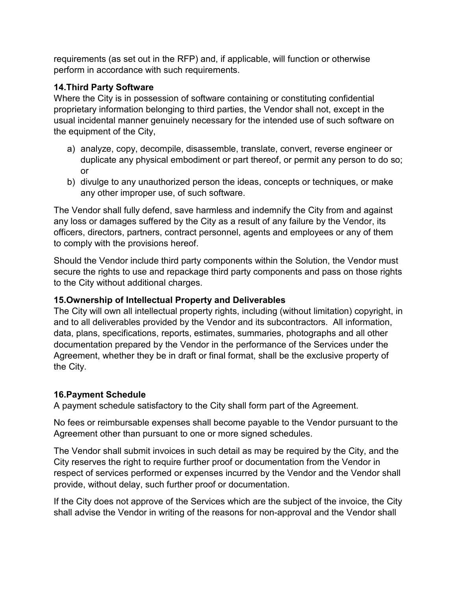requirements (as set out in the RFP) and, if applicable, will function or otherwise perform in accordance with such requirements.

### **14.Third Party Software**

Where the City is in possession of software containing or constituting confidential proprietary information belonging to third parties, the Vendor shall not, except in the usual incidental manner genuinely necessary for the intended use of such software on the equipment of the City,

- a) analyze, copy, decompile, disassemble, translate, convert, reverse engineer or duplicate any physical embodiment or part thereof, or permit any person to do so; or
- b) divulge to any unauthorized person the ideas, concepts or techniques, or make any other improper use, of such software.

The Vendor shall fully defend, save harmless and indemnify the City from and against any loss or damages suffered by the City as a result of any failure by the Vendor, its officers, directors, partners, contract personnel, agents and employees or any of them to comply with the provisions hereof.

Should the Vendor include third party components within the Solution, the Vendor must secure the rights to use and repackage third party components and pass on those rights to the City without additional charges.

## **15.Ownership of Intellectual Property and Deliverables**

The City will own all intellectual property rights, including (without limitation) copyright, in and to all deliverables provided by the Vendor and its subcontractors. All information, data, plans, specifications, reports, estimates, summaries, photographs and all other documentation prepared by the Vendor in the performance of the Services under the Agreement, whether they be in draft or final format, shall be the exclusive property of the City.

## **16.Payment Schedule**

A payment schedule satisfactory to the City shall form part of the Agreement.

No fees or reimbursable expenses shall become payable to the Vendor pursuant to the Agreement other than pursuant to one or more signed schedules.

The Vendor shall submit invoices in such detail as may be required by the City, and the City reserves the right to require further proof or documentation from the Vendor in respect of services performed or expenses incurred by the Vendor and the Vendor shall provide, without delay, such further proof or documentation.

If the City does not approve of the Services which are the subject of the invoice, the City shall advise the Vendor in writing of the reasons for non-approval and the Vendor shall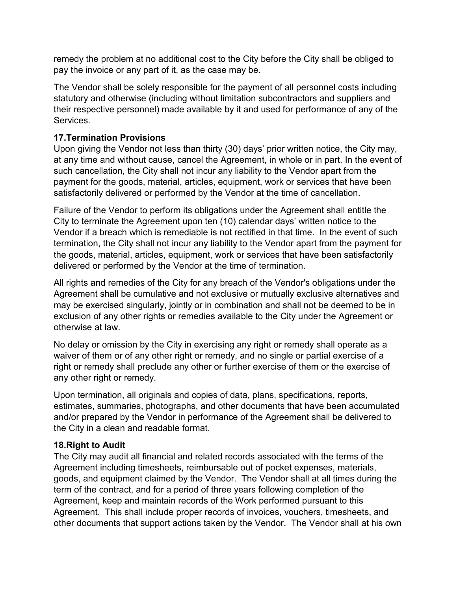remedy the problem at no additional cost to the City before the City shall be obliged to pay the invoice or any part of it, as the case may be.

The Vendor shall be solely responsible for the payment of all personnel costs including statutory and otherwise (including without limitation subcontractors and suppliers and their respective personnel) made available by it and used for performance of any of the Services.

### **17.Termination Provisions**

Upon giving the Vendor not less than thirty (30) days' prior written notice, the City may, at any time and without cause, cancel the Agreement, in whole or in part. In the event of such cancellation, the City shall not incur any liability to the Vendor apart from the payment for the goods, material, articles, equipment, work or services that have been satisfactorily delivered or performed by the Vendor at the time of cancellation.

Failure of the Vendor to perform its obligations under the Agreement shall entitle the City to terminate the Agreement upon ten (10) calendar days' written notice to the Vendor if a breach which is remediable is not rectified in that time. In the event of such termination, the City shall not incur any liability to the Vendor apart from the payment for the goods, material, articles, equipment, work or services that have been satisfactorily delivered or performed by the Vendor at the time of termination.

All rights and remedies of the City for any breach of the Vendor's obligations under the Agreement shall be cumulative and not exclusive or mutually exclusive alternatives and may be exercised singularly, jointly or in combination and shall not be deemed to be in exclusion of any other rights or remedies available to the City under the Agreement or otherwise at law.

No delay or omission by the City in exercising any right or remedy shall operate as a waiver of them or of any other right or remedy, and no single or partial exercise of a right or remedy shall preclude any other or further exercise of them or the exercise of any other right or remedy.

Upon termination, all originals and copies of data, plans, specifications, reports, estimates, summaries, photographs, and other documents that have been accumulated and/or prepared by the Vendor in performance of the Agreement shall be delivered to the City in a clean and readable format.

## **18.Right to Audit**

The City may audit all financial and related records associated with the terms of the Agreement including timesheets, reimbursable out of pocket expenses, materials, goods, and equipment claimed by the Vendor. The Vendor shall at all times during the term of the contract, and for a period of three years following completion of the Agreement, keep and maintain records of the Work performed pursuant to this Agreement. This shall include proper records of invoices, vouchers, timesheets, and other documents that support actions taken by the Vendor. The Vendor shall at his own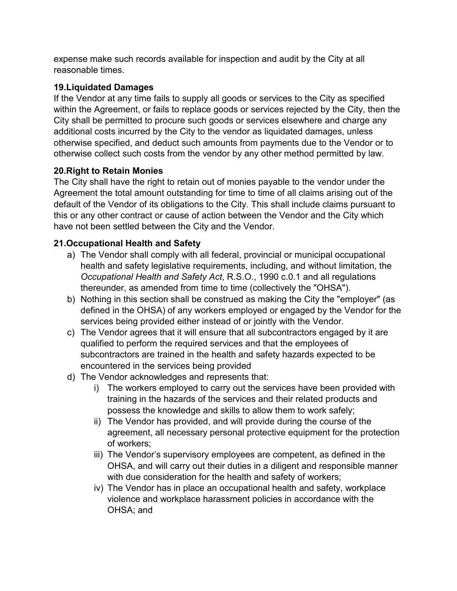expense make such records available for inspection and audit by the City at all reasonable times.

## **19.Liquidated Damages**

If the Vendor at any time fails to supply all goods or services to the City as specified within the Agreement, or fails to replace goods or services rejected by the City, then the City shall be permitted to procure such goods or services elsewhere and charge any additional costs incurred by the City to the vendor as liquidated damages, unless otherwise specified, and deduct such amounts from payments due to the Vendor or to otherwise collect such costs from the vendor by any other method permitted by law.

## **20.Right to Retain Monies**

The City shall have the right to retain out of monies payable to the vendor under the Agreement the total amount outstanding for time to time of all claims arising out of the default of the Vendor of its obligations to the City. This shall include claims pursuant to this or any other contract or cause of action between the Vendor and the City which have not been settled between the City and the Vendor.

## **21.Occupational Health and Safety**

- a) The Vendor shall comply with all federal, provincial or municipal occupational health and safety legislative requirements, including, and without limitation, the *Occupational Health and Safety Act*, R.S.O., 1990 c.0.1 and all regulations thereunder, as amended from time to time (collectively the "OHSA").
- b) Nothing in this section shall be construed as making the City the "employer" (as defined in the OHSA) of any workers employed or engaged by the Vendor for the services being provided either instead of or jointly with the Vendor.
- c) The Vendor agrees that it will ensure that all subcontractors engaged by it are qualified to perform the required services and that the employees of subcontractors are trained in the health and safety hazards expected to be encountered in the services being provided
- d) The Vendor acknowledges and represents that:
	- i) The workers employed to carry out the services have been provided with training in the hazards of the services and their related products and possess the knowledge and skills to allow them to work safely;
	- ii) The Vendor has provided, and will provide during the course of the agreement, all necessary personal protective equipment for the protection of workers;
	- iii) The Vendor's supervisory employees are competent, as defined in the OHSA, and will carry out their duties in a diligent and responsible manner with due consideration for the health and safety of workers;
	- iv) The Vendor has in place an occupational health and safety, workplace violence and workplace harassment policies in accordance with the OHSA; and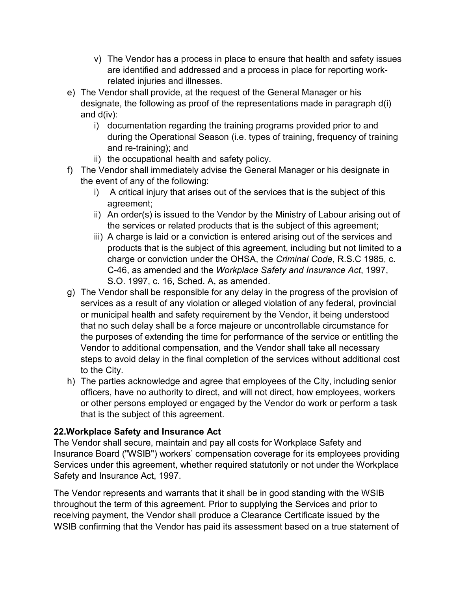- v) The Vendor has a process in place to ensure that health and safety issues are identified and addressed and a process in place for reporting workrelated injuries and illnesses.
- e) The Vendor shall provide, at the request of the General Manager or his designate, the following as proof of the representations made in paragraph d(i) and d(iv):
	- i) documentation regarding the training programs provided prior to and during the Operational Season (i.e. types of training, frequency of training and re-training); and
	- ii) the occupational health and safety policy.
- f) The Vendor shall immediately advise the General Manager or his designate in the event of any of the following:
	- i) A critical injury that arises out of the services that is the subject of this agreement;
	- ii) An order(s) is issued to the Vendor by the Ministry of Labour arising out of the services or related products that is the subject of this agreement;
	- iii) A charge is laid or a conviction is entered arising out of the services and products that is the subject of this agreement, including but not limited to a charge or conviction under the OHSA, the *Criminal Code*, R.S.C 1985, c. C-46, as amended and the *Workplace Safety and Insurance Act*, 1997, S.O. 1997, c. 16, Sched. A, as amended.
- g) The Vendor shall be responsible for any delay in the progress of the provision of services as a result of any violation or alleged violation of any federal, provincial or municipal health and safety requirement by the Vendor, it being understood that no such delay shall be a force majeure or uncontrollable circumstance for the purposes of extending the time for performance of the service or entitling the Vendor to additional compensation, and the Vendor shall take all necessary steps to avoid delay in the final completion of the services without additional cost to the City.
- h) The parties acknowledge and agree that employees of the City, including senior officers, have no authority to direct, and will not direct, how employees, workers or other persons employed or engaged by the Vendor do work or perform a task that is the subject of this agreement.

## **22.Workplace Safety and Insurance Act**

The Vendor shall secure, maintain and pay all costs for Workplace Safety and Insurance Board ("WSIB") workers' compensation coverage for its employees providing Services under this agreement, whether required statutorily or not under the Workplace Safety and Insurance Act, 1997.

The Vendor represents and warrants that it shall be in good standing with the WSIB throughout the term of this agreement. Prior to supplying the Services and prior to receiving payment, the Vendor shall produce a Clearance Certificate issued by the WSIB confirming that the Vendor has paid its assessment based on a true statement of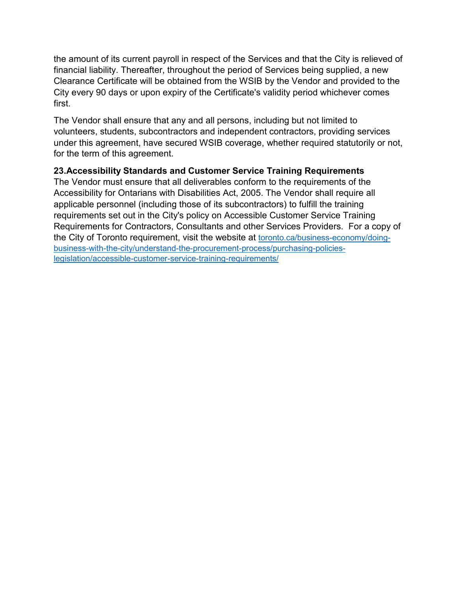the amount of its current payroll in respect of the Services and that the City is relieved of financial liability. Thereafter, throughout the period of Services being supplied, a new Clearance Certificate will be obtained from the WSIB by the Vendor and provided to the City every 90 days or upon expiry of the Certificate's validity period whichever comes first.

The Vendor shall ensure that any and all persons, including but not limited to volunteers, students, subcontractors and independent contractors, providing services under this agreement, have secured WSIB coverage, whether required statutorily or not, for the term of this agreement.

#### **23.Accessibility Standards and Customer Service Training Requirements**

The Vendor must ensure that all deliverables conform to the requirements of the Accessibility for Ontarians with Disabilities Act, 2005. The Vendor shall require all applicable personnel (including those of its subcontractors) to fulfill the training requirements set out in the City's policy on Accessible Customer Service Training Requirements for Contractors, Consultants and other Services Providers. For a copy of the City of Toronto requirement, visit the website at [toronto.ca/business-economy/doing](https://www.toronto.ca/business-economy/doing-business-with-the-city/understand-the-procurement-process/purchasing-policies-legislation/accessible-customer-service-training-requirements/)[business-with-the-city/understand-the-procurement-process/purchasing-policies](https://www.toronto.ca/business-economy/doing-business-with-the-city/understand-the-procurement-process/purchasing-policies-legislation/accessible-customer-service-training-requirements/)[legislation/accessible-customer-service-training-requirements/](https://www.toronto.ca/business-economy/doing-business-with-the-city/understand-the-procurement-process/purchasing-policies-legislation/accessible-customer-service-training-requirements/)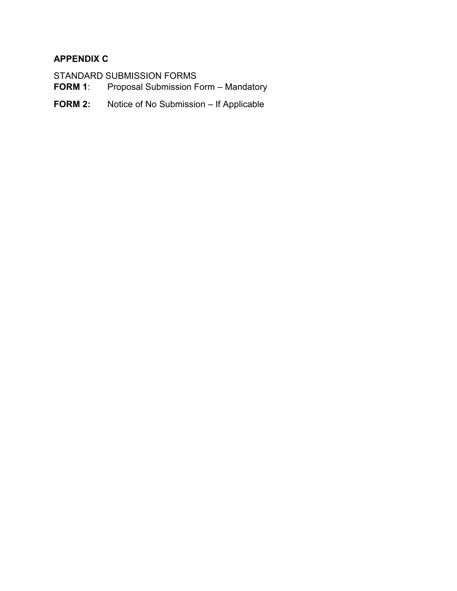## **APPENDIX C**

STANDARD SUBMISSION FORMS<br>FORM 1: Proposal Submission F Proposal Submission Form - Mandatory

**FORM 2:** Notice of No Submission – If Applicable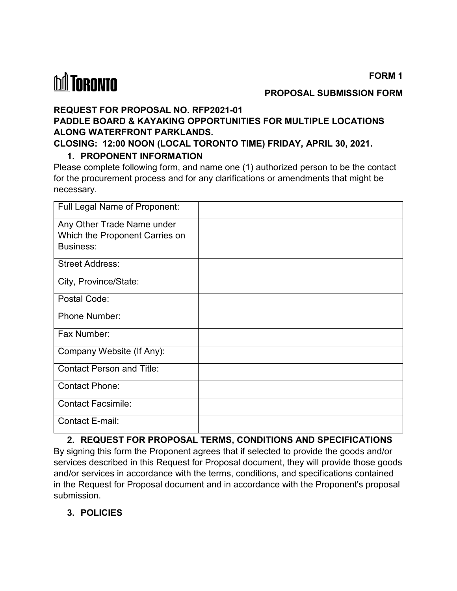*<u>M</u>* TORONTO

#### **PROPOSAL SUBMISSION FORM**

#### **REQUEST FOR PROPOSAL NO. RFP2021-01**

## **PADDLE BOARD & KAYAKING OPPORTUNITIES FOR MULTIPLE LOCATIONS ALONG WATERFRONT PARKLANDS.**

**CLOSING: 12:00 NOON (LOCAL TORONTO TIME) FRIDAY, APRIL 30, 2021.**

#### **1. PROPONENT INFORMATION**

Please complete following form, and name one (1) authorized person to be the contact for the procurement process and for any clarifications or amendments that might be necessary.

| Full Legal Name of Proponent:    |  |
|----------------------------------|--|
| Any Other Trade Name under       |  |
| Which the Proponent Carries on   |  |
| <b>Business:</b>                 |  |
| <b>Street Address:</b>           |  |
| City, Province/State:            |  |
| Postal Code:                     |  |
| <b>Phone Number:</b>             |  |
| Fax Number:                      |  |
| Company Website (If Any):        |  |
| <b>Contact Person and Title:</b> |  |
| <b>Contact Phone:</b>            |  |
| <b>Contact Facsimile:</b>        |  |
| Contact E-mail:                  |  |

#### **2. REQUEST FOR PROPOSAL TERMS, CONDITIONS AND SPECIFICATIONS**

By signing this form the Proponent agrees that if selected to provide the goods and/or services described in this Request for Proposal document, they will provide those goods and/or services in accordance with the terms, conditions, and specifications contained in the Request for Proposal document and in accordance with the Proponent's proposal submission.

#### **3. POLICIES**

**FORM 1**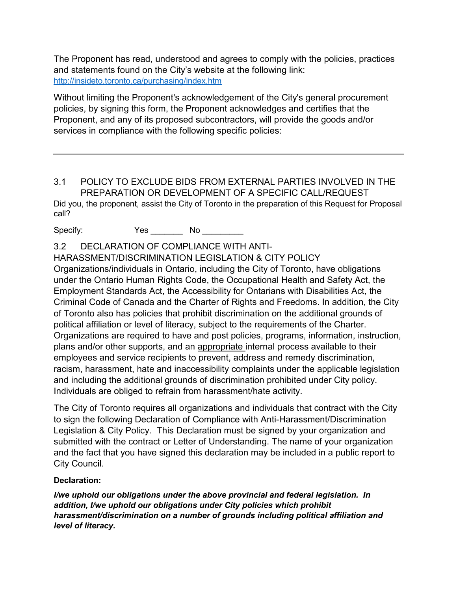The Proponent has read, understood and agrees to comply with the policies, practices and statements found on the City's website at the following link: <http://insideto.toronto.ca/purchasing/index.htm>

Without limiting the Proponent's acknowledgement of the City's general procurement policies, by signing this form, the Proponent acknowledges and certifies that the Proponent, and any of its proposed subcontractors, will provide the goods and/or services in compliance with the following specific policies:

3.1 POLICY TO EXCLUDE BIDS FROM EXTERNAL PARTIES INVOLVED IN THE PREPARATION OR DEVELOPMENT OF A SPECIFIC CALL/REQUEST Did you, the proponent, assist the City of Toronto in the preparation of this Request for Proposal call?

Specify: Yes \_\_\_\_\_\_\_ No \_\_\_\_\_\_\_\_\_

3.2 DECLARATION OF COMPLIANCE WITH ANTI-

HARASSMENT/DISCRIMINATION LEGISLATION & CITY POLICY

Organizations/individuals in Ontario, including the City of Toronto, have obligations under the Ontario Human Rights Code, the Occupational Health and Safety Act, the Employment Standards Act, the Accessibility for Ontarians with Disabilities Act, the Criminal Code of Canada and the Charter of Rights and Freedoms. In addition, the City of Toronto also has policies that prohibit discrimination on the additional grounds of political affiliation or level of literacy, subject to the requirements of the Charter. Organizations are required to have and post policies, programs, information, instruction, plans and/or other supports, and an appropriate internal process available to their employees and service recipients to prevent, address and remedy discrimination, racism, harassment, hate and inaccessibility complaints under the applicable legislation and including the additional grounds of discrimination prohibited under City policy. Individuals are obliged to refrain from harassment/hate activity.

The City of Toronto requires all organizations and individuals that contract with the City to sign the following Declaration of Compliance with Anti-Harassment/Discrimination Legislation & City Policy. This Declaration must be signed by your organization and submitted with the contract or Letter of Understanding. The name of your organization and the fact that you have signed this declaration may be included in a public report to City Council.

#### **Declaration:**

*I/we uphold our obligations under the above provincial and federal legislation. In addition, I/we uphold our obligations under City policies which prohibit harassment/discrimination on a number of grounds including political affiliation and level of literacy.*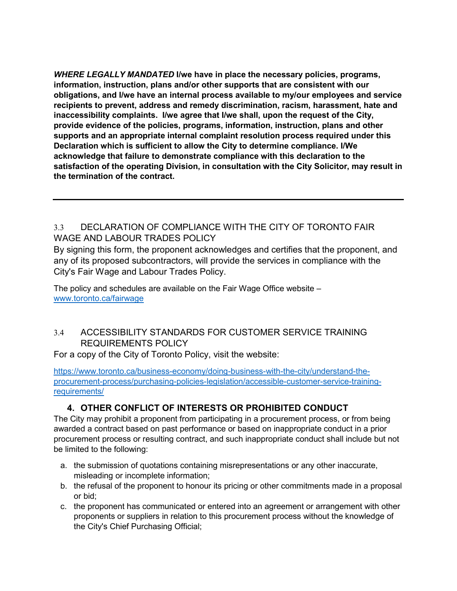*WHERE LEGALLY MANDATED* **I/we have in place the necessary policies, programs, information, instruction, plans and/or other supports that are consistent with our obligations, and I/we have an internal process available to my/our employees and service recipients to prevent, address and remedy discrimination, racism, harassment, hate and inaccessibility complaints. I/we agree that I/we shall, upon the request of the City, provide evidence of the policies, programs, information, instruction, plans and other supports and an appropriate internal complaint resolution process required under this Declaration which is sufficient to allow the City to determine compliance. I/We acknowledge that failure to demonstrate compliance with this declaration to the satisfaction of the operating Division, in consultation with the City Solicitor, may result in the termination of the contract.**

#### 3.3 DECLARATION OF COMPLIANCE WITH THE CITY OF TORONTO FAIR WAGE AND LABOUR TRADES POLICY

By signing this form, the proponent acknowledges and certifies that the proponent, and any of its proposed subcontractors, will provide the services in compliance with the City's Fair Wage and Labour Trades Policy.

The policy and schedules are available on the Fair Wage Office website – [www.toronto.ca/fairwage](http://www.toronto.ca/fairwage)

### 3.4 ACCESSIBILITY STANDARDS FOR CUSTOMER SERVICE TRAINING REQUIREMENTS POLICY

For a copy of the City of Toronto Policy, visit the website:

[https://www.toronto.ca/business-economy/doing-business-with-the-city/understand-the](https://www.toronto.ca/business-economy/doing-business-with-the-city/understand-the-procurement-process/purchasing-policies-legislation/accessible-customer-service-training-requirements/)[procurement-process/purchasing-policies-legislation/accessible-customer-service-training](https://www.toronto.ca/business-economy/doing-business-with-the-city/understand-the-procurement-process/purchasing-policies-legislation/accessible-customer-service-training-requirements/)[requirements/](https://www.toronto.ca/business-economy/doing-business-with-the-city/understand-the-procurement-process/purchasing-policies-legislation/accessible-customer-service-training-requirements/)

## **4. OTHER CONFLICT OF INTERESTS OR PROHIBITED CONDUCT**

The City may prohibit a proponent from participating in a procurement process, or from being awarded a contract based on past performance or based on inappropriate conduct in a prior procurement process or resulting contract, and such inappropriate conduct shall include but not be limited to the following:

- a. the submission of quotations containing misrepresentations or any other inaccurate, misleading or incomplete information;
- b. the refusal of the proponent to honour its pricing or other commitments made in a proposal or bid;
- c. the proponent has communicated or entered into an agreement or arrangement with other proponents or suppliers in relation to this procurement process without the knowledge of the City's Chief Purchasing Official;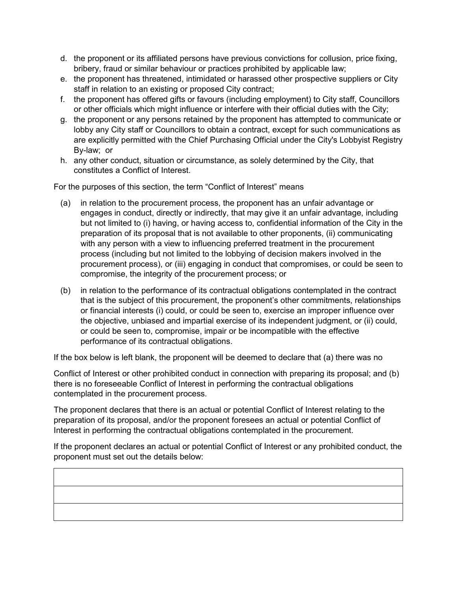- d. the proponent or its affiliated persons have previous convictions for collusion, price fixing, bribery, fraud or similar behaviour or practices prohibited by applicable law;
- e. the proponent has threatened, intimidated or harassed other prospective suppliers or City staff in relation to an existing or proposed City contract;
- f. the proponent has offered gifts or favours (including employment) to City staff, Councillors or other officials which might influence or interfere with their official duties with the City;
- g. the proponent or any persons retained by the proponent has attempted to communicate or lobby any City staff or Councillors to obtain a contract, except for such communications as are explicitly permitted with the Chief Purchasing Official under the City's Lobbyist Registry By-law; or
- h. any other conduct, situation or circumstance, as solely determined by the City, that constitutes a Conflict of Interest.

For the purposes of this section, the term "Conflict of Interest" means

- (a) in relation to the procurement process, the proponent has an unfair advantage or engages in conduct, directly or indirectly, that may give it an unfair advantage, including but not limited to (i) having, or having access to, confidential information of the City in the preparation of its proposal that is not available to other proponents, (ii) communicating with any person with a view to influencing preferred treatment in the procurement process (including but not limited to the lobbying of decision makers involved in the procurement process), or (iii) engaging in conduct that compromises, or could be seen to compromise, the integrity of the procurement process; or
- (b) in relation to the performance of its contractual obligations contemplated in the contract that is the subject of this procurement, the proponent's other commitments, relationships or financial interests (i) could, or could be seen to, exercise an improper influence over the objective, unbiased and impartial exercise of its independent judgment, or (ii) could, or could be seen to, compromise, impair or be incompatible with the effective performance of its contractual obligations.

If the box below is left blank, the proponent will be deemed to declare that (a) there was no

Conflict of Interest or other prohibited conduct in connection with preparing its proposal; and (b) there is no foreseeable Conflict of Interest in performing the contractual obligations contemplated in the procurement process.

The proponent declares that there is an actual or potential Conflict of Interest relating to the preparation of its proposal, and/or the proponent foresees an actual or potential Conflict of Interest in performing the contractual obligations contemplated in the procurement.

If the proponent declares an actual or potential Conflict of Interest or any prohibited conduct, the proponent must set out the details below: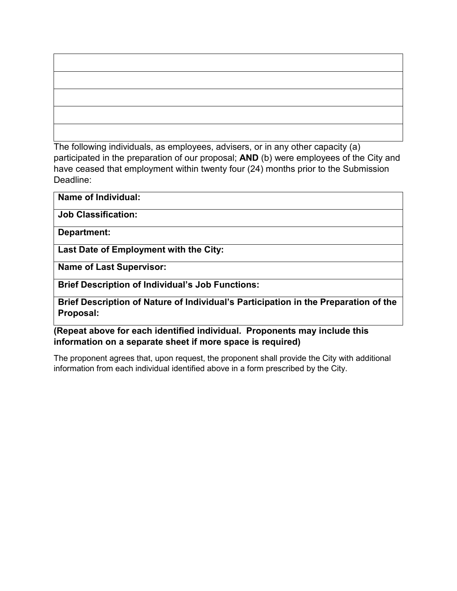The following individuals, as employees, advisers, or in any other capacity (a) participated in the preparation of our proposal; **AND** (b) were employees of the City and have ceased that employment within twenty four (24) months prior to the Submission Deadline:

#### **Name of Individual:**

**Job Classification:**

**Department:**

**Last Date of Employment with the City:**

**Name of Last Supervisor:**

**Brief Description of Individual's Job Functions:**

**Brief Description of Nature of Individual's Participation in the Preparation of the Proposal:**

**(Repeat above for each identified individual. Proponents may include this information on a separate sheet if more space is required)** 

The proponent agrees that, upon request, the proponent shall provide the City with additional information from each individual identified above in a form prescribed by the City.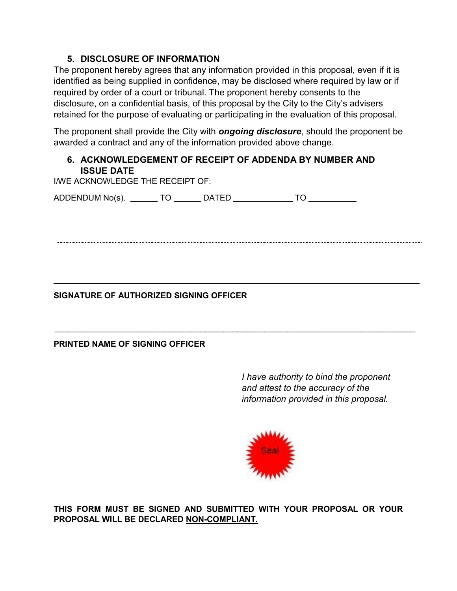#### **5. DISCLOSURE OF INFORMATION**

The proponent hereby agrees that any information provided in this proposal, even if it is identified as being supplied in confidence, may be disclosed where required by law or if required by order of a court or tribunal. The proponent hereby consents to the disclosure, on a confidential basis, of this proposal by the City to the City's advisers retained for the purpose of evaluating or participating in the evaluation of this proposal.

The proponent shall provide the City with *ongoing disclosure*, should the proponent be awarded a contract and any of the information provided above change.

### **6. ACKNOWLEDGEMENT OF RECEIPT OF ADDENDA BY NUMBER AND ISSUE DATE**

I/WE ACKNOWLEDGE THE RECEIPT OF:

ADDENDUM No(s). \_\_\_\_\_\_\_ TO \_\_\_\_\_\_\_ DATED \_\_\_\_\_\_\_\_\_\_\_\_\_ TO \_\_\_\_\_\_\_\_\_\_\_

### **SIGNATURE OF AUTHORIZED SIGNING OFFICER**

#### **PRINTED NAME OF SIGNING OFFICER**

*I have authority to bind the proponent and attest to the accuracy of the information provided in this proposal.*



**THIS FORM MUST BE SIGNED AND SUBMITTED WITH YOUR PROPOSAL OR YOUR PROPOSAL WILL BE DECLARED NON-COMPLIANT.**

 $\_$  , and the set of the set of the set of the set of the set of the set of the set of the set of the set of the set of the set of the set of the set of the set of the set of the set of the set of the set of the set of th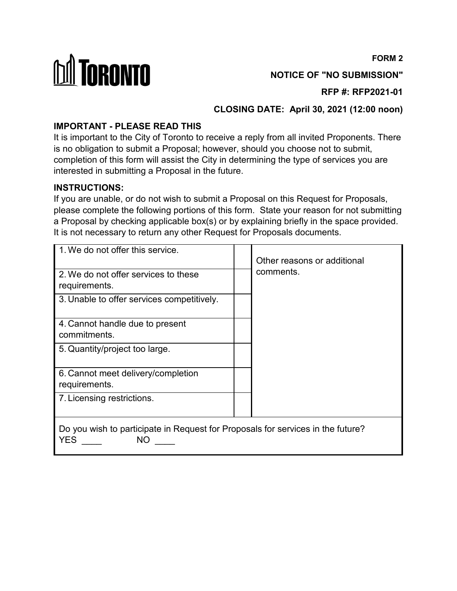**FORM 2**



**NOTICE OF "NO SUBMISSION"**

**RFP #: RFP2021-01**

**CLOSING DATE: April 30, 2021 (12:00 noon)**

## **IMPORTANT - PLEASE READ THIS**

It is important to the City of Toronto to receive a reply from all invited Proponents. There is no obligation to submit a Proposal; however, should you choose not to submit, completion of this form will assist the City in determining the type of services you are interested in submitting a Proposal in the future.

### **INSTRUCTIONS:**

If you are unable, or do not wish to submit a Proposal on this Request for Proposals, please complete the following portions of this form. State your reason for not submitting a Proposal by checking applicable box(s) or by explaining briefly in the space provided. It is not necessary to return any other Request for Proposals documents.

| 1. We do not offer this service.                                                             | Other reasons or additional |  |
|----------------------------------------------------------------------------------------------|-----------------------------|--|
| 2. We do not offer services to these<br>requirements.                                        | comments.                   |  |
| 3. Unable to offer services competitively.                                                   |                             |  |
| 4. Cannot handle due to present<br>commitments.                                              |                             |  |
| 5. Quantity/project too large.                                                               |                             |  |
| 6. Cannot meet delivery/completion<br>requirements.                                          |                             |  |
| 7. Licensing restrictions.                                                                   |                             |  |
| Do you wish to participate in Request for Proposals for services in the future?<br>YES<br>ΝO |                             |  |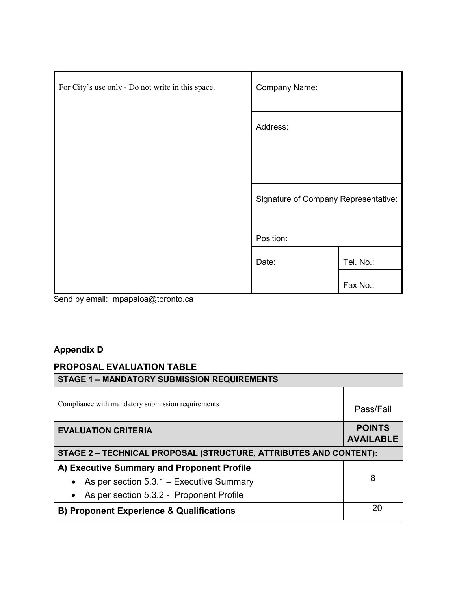| For City's use only - Do not write in this space.      | <b>Company Name:</b>                 |           |
|--------------------------------------------------------|--------------------------------------|-----------|
|                                                        | Address:                             |           |
|                                                        |                                      |           |
|                                                        | Signature of Company Representative: |           |
|                                                        | Position:                            |           |
|                                                        | Date:                                | Tel. No.: |
| $\cdots$<br>$\sim$ $\sim$<br>$\cdot$ $\cdot$<br>$\sim$ |                                      | Fax No.:  |

Send by email: mpapaioa@toronto.ca

## **Appendix D**

## **PROPOSAL EVALUATION TABLE**

| <b>STAGE 1 - MANDATORY SUBMISSION REQUIREMENTS</b>                       |                                   |  |
|--------------------------------------------------------------------------|-----------------------------------|--|
| Compliance with mandatory submission requirements                        | Pass/Fail                         |  |
| <b>EVALUATION CRITERIA</b>                                               | <b>POINTS</b><br><b>AVAILABLE</b> |  |
| <b>STAGE 2 - TECHNICAL PROPOSAL (STRUCTURE, ATTRIBUTES AND CONTENT):</b> |                                   |  |
| A) Executive Summary and Proponent Profile                               |                                   |  |
| As per section $5.3.1$ – Executive Summary<br>$\bullet$                  | 8                                 |  |
| As per section 5.3.2 - Proponent Profile<br>$\bullet$                    |                                   |  |
| <b>B) Proponent Experience &amp; Qualifications</b>                      | 20                                |  |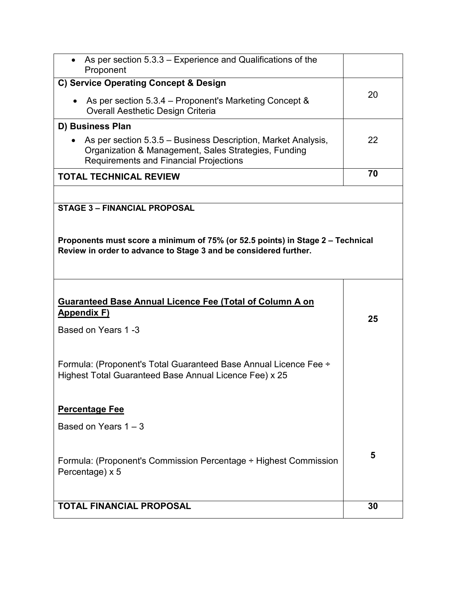| As per section 5.3.3 – Experience and Qualifications of the<br>Proponent                                                                                               |    |
|------------------------------------------------------------------------------------------------------------------------------------------------------------------------|----|
| C) Service Operating Concept & Design                                                                                                                                  |    |
| • As per section $5.3.4$ – Proponent's Marketing Concept &<br><b>Overall Aesthetic Design Criteria</b>                                                                 | 20 |
| D) Business Plan                                                                                                                                                       |    |
| As per section 5.3.5 – Business Description, Market Analysis,<br>Organization & Management, Sales Strategies, Funding<br><b>Requirements and Financial Projections</b> | 22 |
| <b>TOTAL TECHNICAL REVIEW</b>                                                                                                                                          | 70 |
|                                                                                                                                                                        |    |
| <b>STAGE 3 - FINANCIAL PROPOSAL</b>                                                                                                                                    |    |
| Proponents must score a minimum of 75% (or 52.5 points) in Stage 2 – Technical<br>Review in order to advance to Stage 3 and be considered further.                     |    |
|                                                                                                                                                                        |    |
| <b>Guaranteed Base Annual Licence Fee (Total of Column A on</b><br><b>Appendix F)</b>                                                                                  |    |
| Based on Years 1-3                                                                                                                                                     | 25 |
|                                                                                                                                                                        |    |
| Formula: (Proponent's Total Guaranteed Base Annual Licence Fee ÷<br>Highest Total Guaranteed Base Annual Licence Fee) x 25                                             |    |
| <b>Percentage Fee</b>                                                                                                                                                  |    |
| Based on Years $1 - 3$                                                                                                                                                 |    |
|                                                                                                                                                                        |    |
| Formula: (Proponent's Commission Percentage ÷ Highest Commission<br>Percentage) x 5                                                                                    | 5  |
| <b>TOTAL FINANCIAL PROPOSAL</b>                                                                                                                                        | 30 |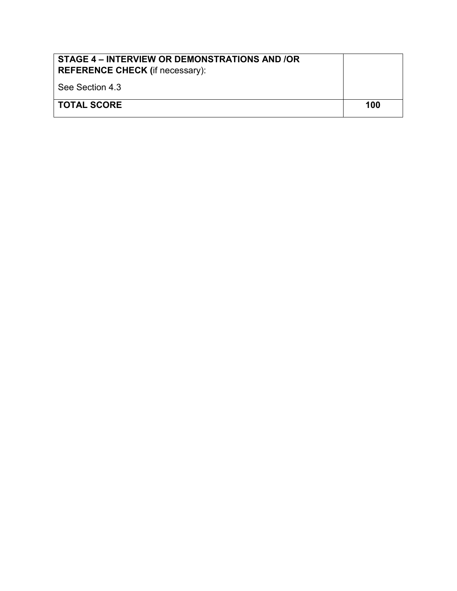| STAGE 4 – INTERVIEW OR DEMONSTRATIONS AND /OR<br><b>REFERENCE CHECK (if necessary):</b> |     |
|-----------------------------------------------------------------------------------------|-----|
| See Section 4.3                                                                         |     |
| I TOTAL SCORE                                                                           | 100 |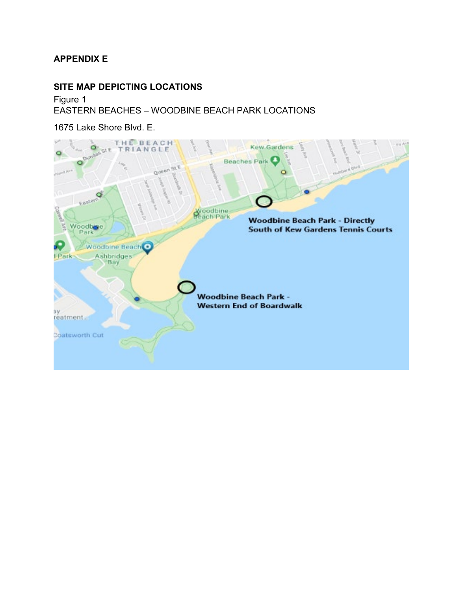#### **SITE MAP DEPICTING LOCATIONS**

Figure 1 EASTERN BEACHES – WOODBINE BEACH PARK LOCATIONS

1675 Lake Shore Blvd. E.

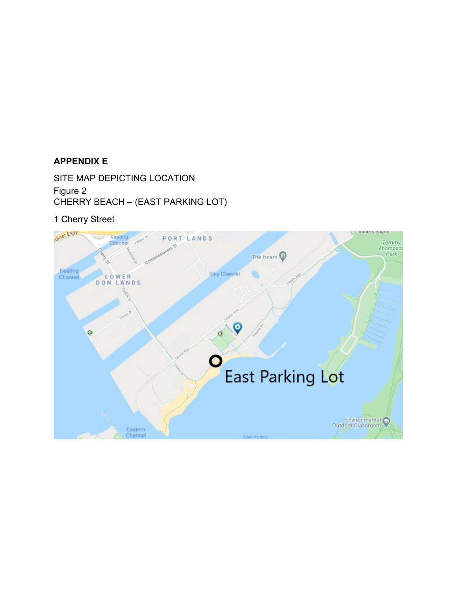SITE MAP DEPICTING LOCATION Figure 2 CHERRY BEACH – (EAST PARKING LOT)

1 Cherry Street

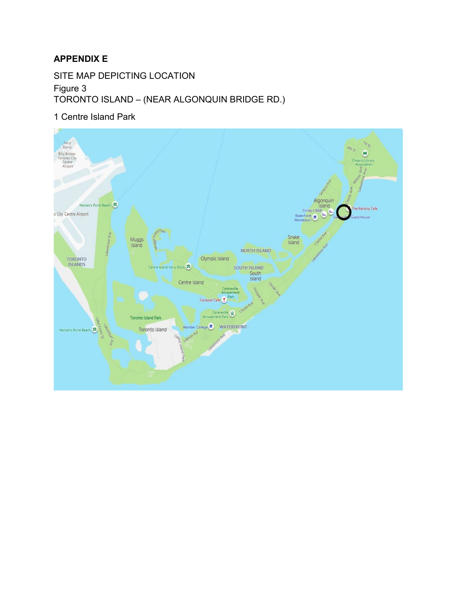SITE MAP DEPICTING LOCATION

Figure 3 TORONTO ISLAND – (NEAR ALGONQUIN BRIDGE RD.)

1 Centre Island Park

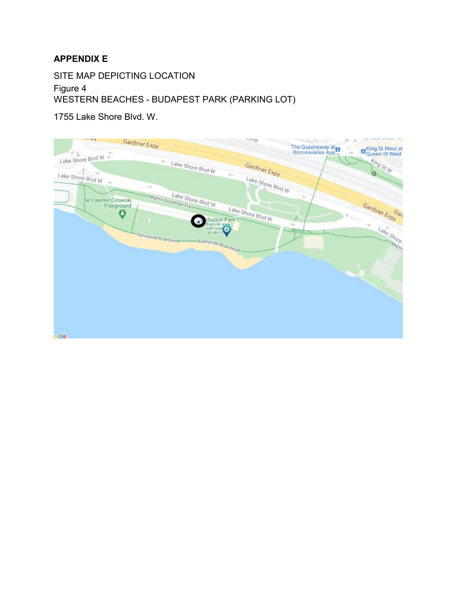SITE MAP DEPICTING LOCATION

Figure 4 WESTERN BEACHES - BUDAPEST PARK (PARKING LOT)

1755 Lake Shore Blvd. W.

| n y<br>Gardiner Expy                 |                                             | ~way              | The Queensway at a<br>-3 | E King St West at |
|--------------------------------------|---------------------------------------------|-------------------|--------------------------|-------------------|
| KA.<br>$\sim$<br>Lake Shore Blvd W + | $\sigma_{\rm esc}$                          |                   |                          |                   |
| Here are<br>$\sim$                   | Lake Shore Blvd W<br>$\tau_{\rm esc}$       | Gardiner Expy     |                          | King St W<br>o.   |
| Lake Shore Blvd W<br>$\sim$          | <b>Hills</b>                                | Lake Shore Blvd W |                          |                   |
| Sir Casimir Gzowski                  | Lake Shore Blvd W<br>-Martin Goodman Trail- |                   | $\eta_{\gamma}$          |                   |
| Playground<br>0                      |                                             | Lake Shore Blvd W |                          | Gardiner Expy     |
|                                      | dapest Park<br>Bayside area<br>with a be    |                   | $-\mu$<br><b>SE</b>      | $\sim$<br>$\sim$  |
|                                      | -Sunnyside-Boardwalk-                       |                   |                          | Lake Short        |
|                                      | Sunnyside Boardwalk-                        |                   |                          |                   |
|                                      |                                             |                   |                          |                   |
|                                      |                                             |                   |                          |                   |
|                                      |                                             |                   |                          |                   |
|                                      |                                             |                   |                          |                   |
|                                      |                                             |                   |                          |                   |
| oale                                 |                                             |                   |                          |                   |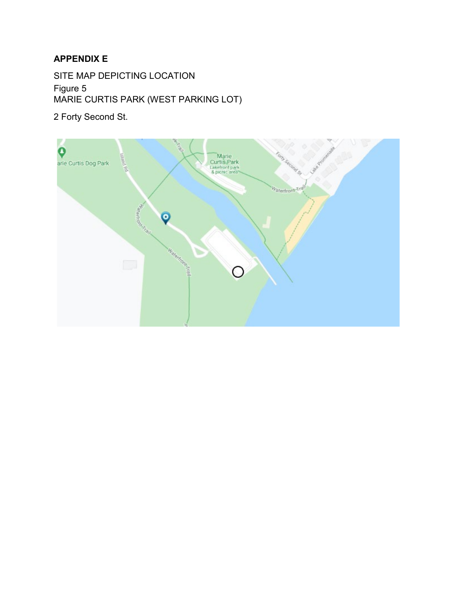SITE MAP DEPICTING LOCATION Figure 5 MARIE CURTIS PARK (WEST PARKING LOT)

2 Forty Second St.

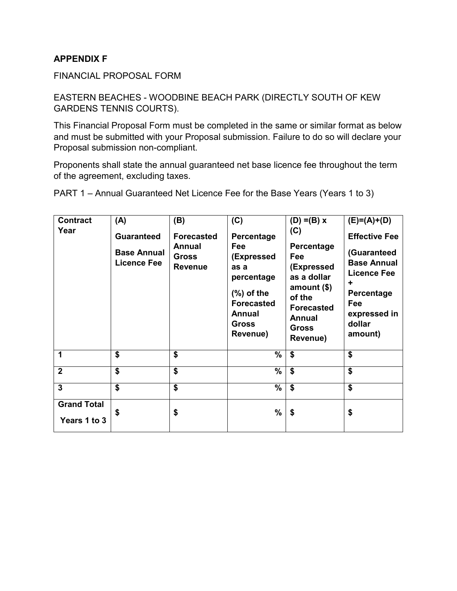FINANCIAL PROPOSAL FORM

#### EASTERN BEACHES - WOODBINE BEACH PARK (DIRECTLY SOUTH OF KEW GARDENS TENNIS COURTS).

This Financial Proposal Form must be completed in the same or similar format as below and must be submitted with your Proposal submission. Failure to do so will declare your Proposal submission non-compliant.

Proponents shall state the annual guaranteed net base licence fee throughout the term of the agreement, excluding taxes.

| <b>Contract</b>                    | (A)                                      | (B)                                             | (C)                                                                                                                        | $(D) = (B) x$                                                                                                                       | $(E)=(A)+(D)$                                                                                                          |
|------------------------------------|------------------------------------------|-------------------------------------------------|----------------------------------------------------------------------------------------------------------------------------|-------------------------------------------------------------------------------------------------------------------------------------|------------------------------------------------------------------------------------------------------------------------|
| Year                               | <b>Guaranteed</b>                        | <b>Forecasted</b>                               | Percentage                                                                                                                 | (C)                                                                                                                                 | <b>Effective Fee</b>                                                                                                   |
|                                    | <b>Base Annual</b><br><b>Licence Fee</b> | <b>Annual</b><br><b>Gross</b><br><b>Revenue</b> | Fee<br>(Expressed<br>as a<br>percentage<br>$(\%)$ of the<br><b>Forecasted</b><br><b>Annual</b><br><b>Gross</b><br>Revenue) | Percentage<br>Fee<br>(Expressed<br>as a dollar<br>amount $($)$<br>of the<br><b>Forecasted</b><br>Annual<br><b>Gross</b><br>Revenue) | (Guaranteed<br><b>Base Annual</b><br><b>Licence Fee</b><br>٠<br>Percentage<br>Fee<br>expressed in<br>dollar<br>amount) |
| 1                                  | \$                                       | \$                                              | %                                                                                                                          | \$                                                                                                                                  | \$                                                                                                                     |
| $\overline{2}$                     | \$                                       | \$                                              | %                                                                                                                          | \$                                                                                                                                  | \$                                                                                                                     |
| 3                                  | \$                                       | $\overline{\boldsymbol{\mathsf{s}}}$            | %                                                                                                                          | \$                                                                                                                                  | \$                                                                                                                     |
| <b>Grand Total</b><br>Years 1 to 3 | \$                                       | \$                                              | %                                                                                                                          | \$                                                                                                                                  | \$                                                                                                                     |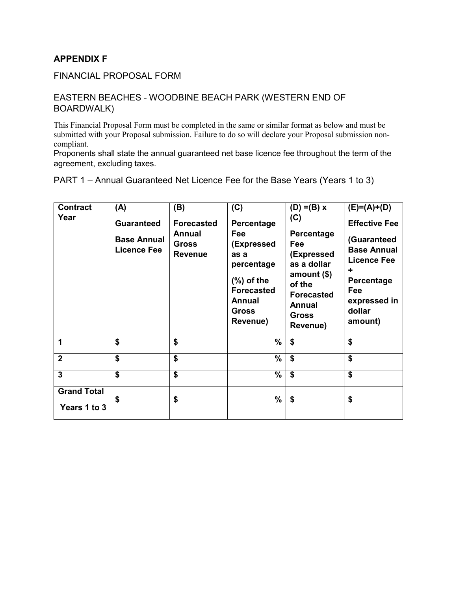FINANCIAL PROPOSAL FORM

#### EASTERN BEACHES - WOODBINE BEACH PARK (WESTERN END OF BOARDWALK)

This Financial Proposal Form must be completed in the same or similar format as below and must be submitted with your Proposal submission. Failure to do so will declare your Proposal submission noncompliant.

Proponents shall state the annual guaranteed net base licence fee throughout the term of the agreement, excluding taxes.

| <b>Contract</b><br>Year            | (A)<br><b>Guaranteed</b><br><b>Base Annual</b><br><b>Licence Fee</b> | (B)<br><b>Forecasted</b><br><b>Annual</b><br><b>Gross</b><br><b>Revenue</b> | (C)<br>Percentage<br>Fee<br>(Expressed<br>as a                                                | $(D) = (B) x$<br>(C)<br>Percentage<br>Fee<br>(Expressed                                          | $(E)=(A)+(D)$<br><b>Effective Fee</b><br>(Guaranteed<br><b>Base Annual</b><br><b>Licence Fee</b> |
|------------------------------------|----------------------------------------------------------------------|-----------------------------------------------------------------------------|-----------------------------------------------------------------------------------------------|--------------------------------------------------------------------------------------------------|--------------------------------------------------------------------------------------------------|
|                                    |                                                                      |                                                                             | percentage<br>$(\%)$ of the<br><b>Forecasted</b><br><b>Annual</b><br><b>Gross</b><br>Revenue) | as a dollar<br>amount $($)$<br>of the<br><b>Forecasted</b><br>Annual<br><b>Gross</b><br>Revenue) | ٠<br>Percentage<br>Fee<br>expressed in<br>dollar<br>amount)                                      |
| 1                                  | \$                                                                   | \$                                                                          | $\%$                                                                                          | \$                                                                                               | \$                                                                                               |
| $\overline{2}$                     | \$                                                                   | \$                                                                          | $\%$                                                                                          | \$                                                                                               | \$                                                                                               |
| $\overline{3}$                     | $\boldsymbol{\$}$                                                    | \$                                                                          | $\%$                                                                                          | \$                                                                                               | \$                                                                                               |
| <b>Grand Total</b><br>Years 1 to 3 | S                                                                    | \$                                                                          | $\%$                                                                                          | \$                                                                                               | \$                                                                                               |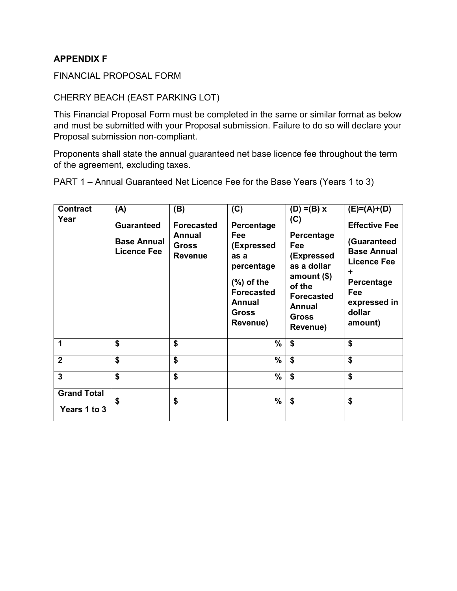#### FINANCIAL PROPOSAL FORM

#### CHERRY BEACH (EAST PARKING LOT)

This Financial Proposal Form must be completed in the same or similar format as below and must be submitted with your Proposal submission. Failure to do so will declare your Proposal submission non-compliant.

Proponents shall state the annual guaranteed net base licence fee throughout the term of the agreement, excluding taxes.

| <b>Contract</b>                    | (A)                                                           | (B)                                                                  | (C)                                                                      | $(D) = (B) x$                                                                            | $(E)=(A)+(D)$                                                                        |
|------------------------------------|---------------------------------------------------------------|----------------------------------------------------------------------|--------------------------------------------------------------------------|------------------------------------------------------------------------------------------|--------------------------------------------------------------------------------------|
| Year                               | <b>Guaranteed</b><br><b>Base Annual</b><br><b>Licence Fee</b> | <b>Forecasted</b><br><b>Annual</b><br><b>Gross</b><br><b>Revenue</b> | Percentage<br>Fee<br>(Expressed<br>as a<br>percentage                    | (C)<br>Percentage<br>Fee<br>(Expressed<br>as a dollar                                    | <b>Effective Fee</b><br>(Guaranteed<br><b>Base Annual</b><br><b>Licence Fee</b><br>÷ |
|                                    |                                                               |                                                                      | $(\%)$ of the<br><b>Forecasted</b><br>Annual<br><b>Gross</b><br>Revenue) | amount $($)$<br>of the<br><b>Forecasted</b><br><b>Annual</b><br><b>Gross</b><br>Revenue) | Percentage<br>Fee<br>expressed in<br>dollar<br>amount)                               |
| 1                                  | \$                                                            | \$                                                                   | $\%$                                                                     | \$                                                                                       | \$                                                                                   |
| $\overline{2}$                     | \$                                                            | \$                                                                   | %                                                                        | \$                                                                                       | \$                                                                                   |
| $\overline{3}$                     | $\overline{\mathbf{s}}$                                       | $\overline{\boldsymbol{\mathsf{s}}}$                                 | %                                                                        | \$                                                                                       | \$                                                                                   |
| <b>Grand Total</b><br>Years 1 to 3 | \$                                                            | \$                                                                   | $\frac{9}{6}$                                                            | \$                                                                                       | \$                                                                                   |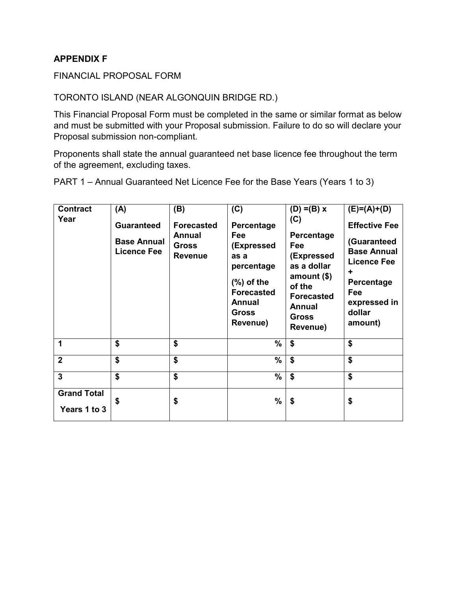#### FINANCIAL PROPOSAL FORM

#### TORONTO ISLAND (NEAR ALGONQUIN BRIDGE RD.)

This Financial Proposal Form must be completed in the same or similar format as below and must be submitted with your Proposal submission. Failure to do so will declare your Proposal submission non-compliant.

Proponents shall state the annual guaranteed net base licence fee throughout the term of the agreement, excluding taxes.

| <b>Contract</b>                    | (A)                                                           | (B)                                                                  | (C)                                                                      | $(D) = (B) x$                                                            | $(E)=(A)+(D)$                                                                        |
|------------------------------------|---------------------------------------------------------------|----------------------------------------------------------------------|--------------------------------------------------------------------------|--------------------------------------------------------------------------|--------------------------------------------------------------------------------------|
| Year                               | <b>Guaranteed</b><br><b>Base Annual</b><br><b>Licence Fee</b> | <b>Forecasted</b><br><b>Annual</b><br><b>Gross</b><br><b>Revenue</b> | Percentage<br>Fee<br>(Expressed<br>as a<br>percentage                    | (C)<br>Percentage<br>Fee<br>(Expressed<br>as a dollar<br>amount $($)$    | <b>Effective Fee</b><br>(Guaranteed<br><b>Base Annual</b><br><b>Licence Fee</b><br>٠ |
|                                    |                                                               |                                                                      | $(\%)$ of the<br><b>Forecasted</b><br>Annual<br><b>Gross</b><br>Revenue) | of the<br><b>Forecasted</b><br><b>Annual</b><br><b>Gross</b><br>Revenue) | Percentage<br>Fee<br>expressed in<br>dollar<br>amount)                               |
| 1                                  | \$                                                            | \$                                                                   | $\%$                                                                     | \$                                                                       | \$                                                                                   |
| $\overline{2}$                     | \$                                                            | \$                                                                   | %                                                                        | \$                                                                       | \$                                                                                   |
| $\overline{3}$                     | \$                                                            | \$                                                                   | %                                                                        | \$                                                                       | \$                                                                                   |
| <b>Grand Total</b><br>Years 1 to 3 | \$                                                            | \$                                                                   | $\frac{9}{6}$                                                            | \$                                                                       | \$                                                                                   |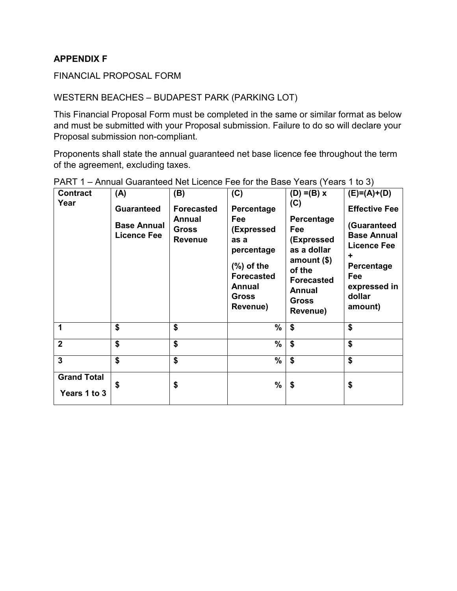#### FINANCIAL PROPOSAL FORM

#### WESTERN BEACHES – BUDAPEST PARK (PARKING LOT)

This Financial Proposal Form must be completed in the same or similar format as below and must be submitted with your Proposal submission. Failure to do so will declare your Proposal submission non-compliant.

Proponents shall state the annual guaranteed net base licence fee throughout the term of the agreement, excluding taxes.

| <b>Contract</b>                    | (A)                                                           | (B)                                                           | (C)                                                                                                                                      | $(D) = (B) x$                                                                                                                                     | $(E)=(A)+(D)$                                                                                                                                  |
|------------------------------------|---------------------------------------------------------------|---------------------------------------------------------------|------------------------------------------------------------------------------------------------------------------------------------------|---------------------------------------------------------------------------------------------------------------------------------------------------|------------------------------------------------------------------------------------------------------------------------------------------------|
| Year                               | <b>Guaranteed</b><br><b>Base Annual</b><br><b>Licence Fee</b> | <b>Forecasted</b><br>Annual<br><b>Gross</b><br><b>Revenue</b> | Percentage<br>Fee<br>(Expressed<br>as a<br>percentage<br>$(\%)$ of the<br><b>Forecasted</b><br><b>Annual</b><br><b>Gross</b><br>Revenue) | (C)<br>Percentage<br>Fee<br>(Expressed<br>as a dollar<br>amount $($)$<br>of the<br><b>Forecasted</b><br><b>Annual</b><br><b>Gross</b><br>Revenue) | <b>Effective Fee</b><br>(Guaranteed<br><b>Base Annual</b><br><b>Licence Fee</b><br>٠<br>Percentage<br>Fee<br>expressed in<br>dollar<br>amount) |
| 1                                  | \$                                                            | \$                                                            | %                                                                                                                                        | \$                                                                                                                                                | \$                                                                                                                                             |
| $\overline{2}$                     | \$                                                            | \$                                                            | %                                                                                                                                        | \$                                                                                                                                                | \$                                                                                                                                             |
| $\overline{\mathbf{3}}$            | \$                                                            | \$                                                            | %                                                                                                                                        | \$                                                                                                                                                | \$                                                                                                                                             |
| <b>Grand Total</b><br>Years 1 to 3 | S                                                             | \$                                                            | %                                                                                                                                        | \$                                                                                                                                                | \$                                                                                                                                             |

| PART 1 – Annual Guaranteed Net Licence Fee for the Base Years (Years 1 to 3) |  |
|------------------------------------------------------------------------------|--|
|------------------------------------------------------------------------------|--|